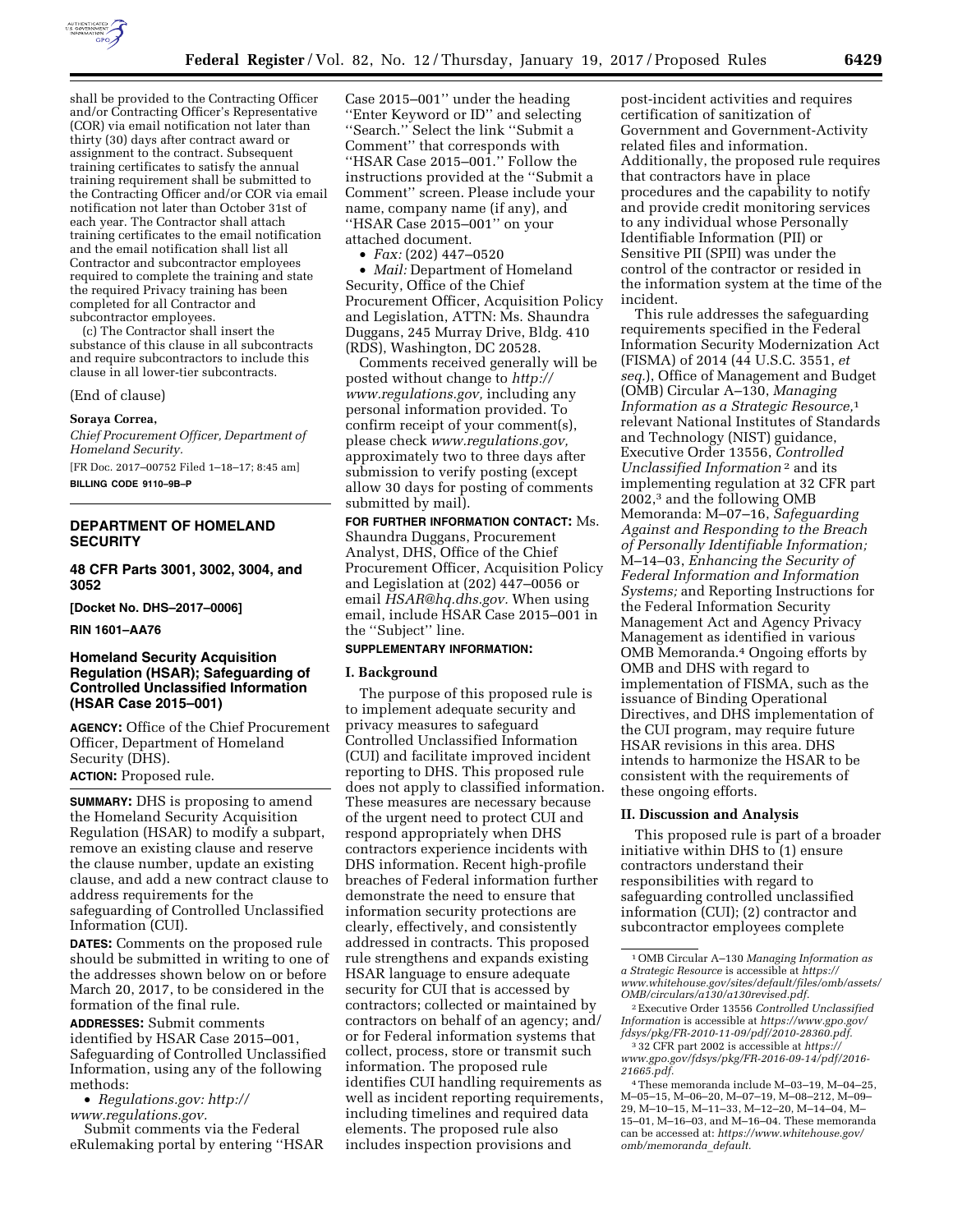

shall be provided to the Contracting Officer and/or Contracting Officer's Representative (COR) via email notification not later than thirty (30) days after contract award or assignment to the contract. Subsequent training certificates to satisfy the annual training requirement shall be submitted to the Contracting Officer and/or COR via email notification not later than October 31st of each year. The Contractor shall attach training certificates to the email notification and the email notification shall list all Contractor and subcontractor employees required to complete the training and state the required Privacy training has been completed for all Contractor and subcontractor employees.

(c) The Contractor shall insert the substance of this clause in all subcontracts and require subcontractors to include this clause in all lower-tier subcontracts.

(End of clause)

#### **Soraya Correa,**

*Chief Procurement Officer, Department of Homeland Security.* 

[FR Doc. 2017–00752 Filed 1–18–17; 8:45 am] **BILLING CODE 9110–9B–P** 

## **DEPARTMENT OF HOMELAND SECURITY**

**48 CFR Parts 3001, 3002, 3004, and 3052** 

**[Docket No. DHS–2017–0006]** 

**RIN 1601–AA76** 

## **Homeland Security Acquisition Regulation (HSAR); Safeguarding of Controlled Unclassified Information (HSAR Case 2015–001)**

**AGENCY:** Office of the Chief Procurement Officer, Department of Homeland Security (DHS). **ACTION:** Proposed rule.

**SUMMARY:** DHS is proposing to amend the Homeland Security Acquisition Regulation (HSAR) to modify a subpart, remove an existing clause and reserve the clause number, update an existing clause, and add a new contract clause to address requirements for the safeguarding of Controlled Unclassified Information (CUI).

**DATES:** Comments on the proposed rule should be submitted in writing to one of the addresses shown below on or before March 20, 2017, to be considered in the formation of the final rule.

**ADDRESSES:** Submit comments identified by HSAR Case 2015–001, Safeguarding of Controlled Unclassified Information, using any of the following methods:

• *Regulations.gov: [http://](http://www.regulations.gov)*

*[www.regulations.gov.](http://www.regulations.gov)* 

Submit comments via the Federal eRulemaking portal by entering ''HSAR

Case 2015–001'' under the heading ''Enter Keyword or ID'' and selecting ''Search.'' Select the link ''Submit a Comment'' that corresponds with ''HSAR Case 2015–001.'' Follow the instructions provided at the ''Submit a Comment'' screen. Please include your name, company name (if any), and ''HSAR Case 2015–001'' on your attached document.

• *Fax:* (202) 447–0520

• *Mail:* Department of Homeland Security, Office of the Chief Procurement Officer, Acquisition Policy and Legislation, ATTN: Ms. Shaundra Duggans, 245 Murray Drive, Bldg. 410 (RDS), Washington, DC 20528.

Comments received generally will be posted without change to *[http://](http://www.regulations.gov) [www.regulations.gov,](http://www.regulations.gov)* including any personal information provided. To confirm receipt of your comment(s), please check *[www.regulations.gov,](http://www.regulations.gov)*  approximately two to three days after submission to verify posting (except allow 30 days for posting of comments submitted by mail).

**FOR FURTHER INFORMATION CONTACT:** Ms. Shaundra Duggans, Procurement Analyst, DHS, Office of the Chief Procurement Officer, Acquisition Policy and Legislation at (202) 447–0056 or email *[HSAR@hq.dhs.gov.](mailto:HSAR@hq.dhs.gov)* When using email, include HSAR Case 2015–001 in the ''Subject'' line.

# **SUPPLEMENTARY INFORMATION:**

### **I. Background**

The purpose of this proposed rule is to implement adequate security and privacy measures to safeguard Controlled Unclassified Information (CUI) and facilitate improved incident reporting to DHS. This proposed rule does not apply to classified information. These measures are necessary because of the urgent need to protect CUI and respond appropriately when DHS contractors experience incidents with DHS information. Recent high-profile breaches of Federal information further demonstrate the need to ensure that information security protections are clearly, effectively, and consistently addressed in contracts. This proposed rule strengthens and expands existing HSAR language to ensure adequate security for CUI that is accessed by contractors; collected or maintained by contractors on behalf of an agency; and/ or for Federal information systems that collect, process, store or transmit such information. The proposed rule identifies CUI handling requirements as well as incident reporting requirements, including timelines and required data elements. The proposed rule also includes inspection provisions and

post-incident activities and requires certification of sanitization of Government and Government-Activity related files and information. Additionally, the proposed rule requires that contractors have in place procedures and the capability to notify and provide credit monitoring services to any individual whose Personally Identifiable Information (PII) or Sensitive PII (SPII) was under the control of the contractor or resided in the information system at the time of the incident.

This rule addresses the safeguarding requirements specified in the Federal Information Security Modernization Act (FISMA) of 2014 (44 U.S.C. 3551, *et seq.*), Office of Management and Budget (OMB) Circular A–130, *Managing Information as a Strategic Resource,*1 relevant National Institutes of Standards and Technology (NIST) guidance, Executive Order 13556, *Controlled Unclassified Information* 2 and its implementing regulation at 32 CFR part 2002,3 and the following OMB Memoranda: M–07–16, *Safeguarding Against and Responding to the Breach of Personally Identifiable Information;*  M–14–03, *Enhancing the Security of Federal Information and Information Systems;* and Reporting Instructions for the Federal Information Security Management Act and Agency Privacy Management as identified in various OMB Memoranda.4 Ongoing efforts by OMB and DHS with regard to implementation of FISMA, such as the issuance of Binding Operational Directives, and DHS implementation of the CUI program, may require future HSAR revisions in this area. DHS intends to harmonize the HSAR to be consistent with the requirements of these ongoing efforts.

#### **II. Discussion and Analysis**

This proposed rule is part of a broader initiative within DHS to (1) ensure contractors understand their responsibilities with regard to safeguarding controlled unclassified information (CUI); (2) contractor and subcontractor employees complete

<sup>1</sup>OMB Circular A–130 *Managing Information as a Strategic Resource* is accessible at *[https://](https://www.whitehouse.gov/sites/default/files/omb/assets/OMB/circulars/a130/a130revised.pdf) [www.whitehouse.gov/sites/default/files/omb/assets/](https://www.whitehouse.gov/sites/default/files/omb/assets/OMB/circulars/a130/a130revised.pdf) [OMB/circulars/a130/a130revised.pdf.](https://www.whitehouse.gov/sites/default/files/omb/assets/OMB/circulars/a130/a130revised.pdf)* 

<sup>2</sup>Executive Order 13556 *Controlled Unclassified Information* is accessible at *[https://www.gpo.gov/](https://www.gpo.gov/fdsys/pkg/FR-2010-11-09/pdf/2010-28360.pdf)  [fdsys/pkg/FR-2010-11-09/pdf/2010-28360.pdf.](https://www.gpo.gov/fdsys/pkg/FR-2010-11-09/pdf/2010-28360.pdf)* 

<sup>3</sup> 32 CFR part 2002 is accessible at *[https://](https://www.gpo.gov/fdsys/pkg/FR-2016-09-14/pdf/2016-21665.pdf) [www.gpo.gov/fdsys/pkg/FR-2016-09-14/pdf/2016-](https://www.gpo.gov/fdsys/pkg/FR-2016-09-14/pdf/2016-21665.pdf) [21665.pdf.](https://www.gpo.gov/fdsys/pkg/FR-2016-09-14/pdf/2016-21665.pdf)* 

<sup>4</sup>These memoranda include M–03–19, M–04–25, M–05–15, M–06–20, M–07–19, M–08–212, M–09– 29, M–10–15, M–11–33, M–12–20, M–14–04, M– 15–01, M–16–03, and M–16–04. These memoranda can be accessed at: *[https://www.whitehouse.gov/](https://www.whitehouse.gov/omb/memoranda_default) [omb/memoranda](https://www.whitehouse.gov/omb/memoranda_default)*\_*default.*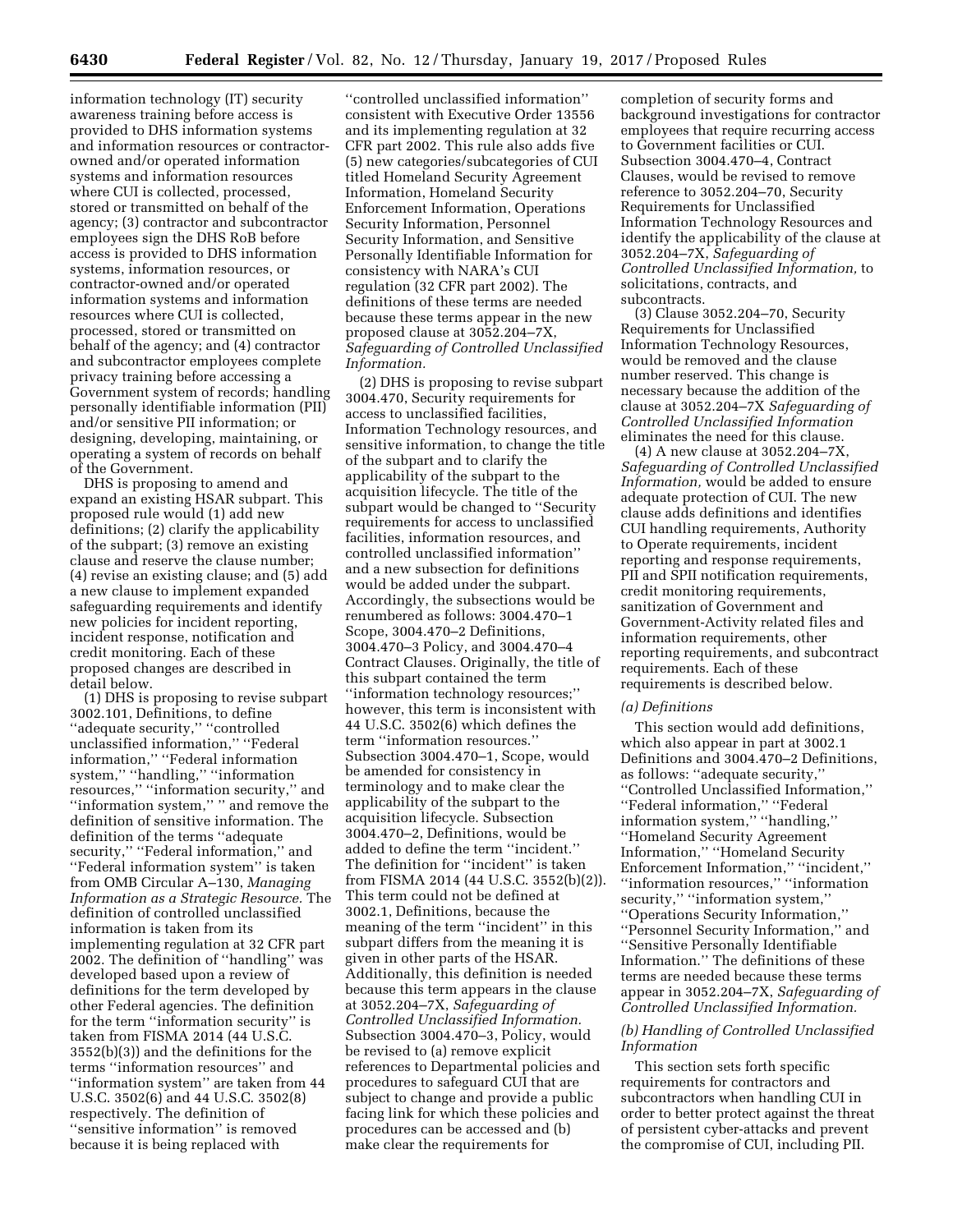information technology (IT) security awareness training before access is provided to DHS information systems and information resources or contractorowned and/or operated information systems and information resources where CUI is collected, processed, stored or transmitted on behalf of the agency; (3) contractor and subcontractor employees sign the DHS RoB before access is provided to DHS information systems, information resources, or contractor-owned and/or operated information systems and information resources where CUI is collected, processed, stored or transmitted on behalf of the agency; and (4) contractor and subcontractor employees complete privacy training before accessing a Government system of records; handling personally identifiable information (PII) and/or sensitive PII information; or designing, developing, maintaining, or operating a system of records on behalf of the Government.

DHS is proposing to amend and expand an existing HSAR subpart. This proposed rule would (1) add new definitions; (2) clarify the applicability of the subpart; (3) remove an existing clause and reserve the clause number; (4) revise an existing clause; and (5) add a new clause to implement expanded safeguarding requirements and identify new policies for incident reporting, incident response, notification and credit monitoring. Each of these proposed changes are described in detail below.

(1) DHS is proposing to revise subpart 3002.101, Definitions, to define ''adequate security,'' ''controlled unclassified information,'' ''Federal information,'' ''Federal information system,'' ''handling,'' ''information resources,'' ''information security,'' and ''information system,'' '' and remove the definition of sensitive information. The definition of the terms ''adequate security," "Federal information," and ''Federal information system'' is taken from OMB Circular A–130, *Managing Information as a Strategic Resource.* The definition of controlled unclassified information is taken from its implementing regulation at 32 CFR part 2002. The definition of ''handling'' was developed based upon a review of definitions for the term developed by other Federal agencies. The definition for the term ''information security'' is taken from FISMA 2014 (44 U.S.C. 3552(b)(3)) and the definitions for the terms ''information resources'' and ''information system'' are taken from 44 U.S.C. 3502(6) and 44 U.S.C. 3502(8) respectively. The definition of ''sensitive information'' is removed because it is being replaced with

''controlled unclassified information'' consistent with Executive Order 13556 and its implementing regulation at 32 CFR part 2002. This rule also adds five (5) new categories/subcategories of CUI titled Homeland Security Agreement Information, Homeland Security Enforcement Information, Operations Security Information, Personnel Security Information, and Sensitive Personally Identifiable Information for consistency with NARA's CUI regulation (32 CFR part 2002). The definitions of these terms are needed because these terms appear in the new proposed clause at 3052.204–7X, *Safeguarding of Controlled Unclassified Information.* 

(2) DHS is proposing to revise subpart 3004.470, Security requirements for access to unclassified facilities, Information Technology resources, and sensitive information, to change the title of the subpart and to clarify the applicability of the subpart to the acquisition lifecycle. The title of the subpart would be changed to ''Security requirements for access to unclassified facilities, information resources, and controlled unclassified information'' and a new subsection for definitions would be added under the subpart. Accordingly, the subsections would be renumbered as follows: 3004.470–1 Scope, 3004.470–2 Definitions, 3004.470–3 Policy, and 3004.470–4 Contract Clauses. Originally, the title of this subpart contained the term ''information technology resources;'' however, this term is inconsistent with 44 U.S.C. 3502(6) which defines the term ''information resources.'' Subsection 3004.470–1, Scope, would be amended for consistency in terminology and to make clear the applicability of the subpart to the acquisition lifecycle. Subsection 3004.470–2, Definitions, would be added to define the term ''incident.'' The definition for ''incident'' is taken from FISMA 2014 (44 U.S.C. 3552(b)(2)). This term could not be defined at 3002.1, Definitions, because the meaning of the term ''incident'' in this subpart differs from the meaning it is given in other parts of the HSAR. Additionally, this definition is needed because this term appears in the clause at 3052.204–7X, *Safeguarding of Controlled Unclassified Information.*  Subsection 3004.470–3, Policy, would be revised to (a) remove explicit references to Departmental policies and procedures to safeguard CUI that are subject to change and provide a public facing link for which these policies and procedures can be accessed and (b) make clear the requirements for

completion of security forms and background investigations for contractor employees that require recurring access to Government facilities or CUI. Subsection 3004.470–4, Contract Clauses, would be revised to remove reference to 3052.204–70, Security Requirements for Unclassified Information Technology Resources and identify the applicability of the clause at 3052.204–7X, *Safeguarding of Controlled Unclassified Information,* to solicitations, contracts, and subcontracts.

(3) Clause 3052.204–70, Security Requirements for Unclassified Information Technology Resources, would be removed and the clause number reserved. This change is necessary because the addition of the clause at 3052.204–7X *Safeguarding of Controlled Unclassified Information*  eliminates the need for this clause.

(4) A new clause at 3052.204–7X, *Safeguarding of Controlled Unclassified Information,* would be added to ensure adequate protection of CUI. The new clause adds definitions and identifies CUI handling requirements, Authority to Operate requirements, incident reporting and response requirements, PII and SPII notification requirements, credit monitoring requirements, sanitization of Government and Government-Activity related files and information requirements, other reporting requirements, and subcontract requirements. Each of these requirements is described below.

#### *(a) Definitions*

This section would add definitions, which also appear in part at 3002.1 Definitions and 3004.470–2 Definitions, as follows: ''adequate security,'' ''Controlled Unclassified Information,'' ''Federal information,'' ''Federal information system,'' ''handling,'' ''Homeland Security Agreement Information,'' ''Homeland Security Enforcement Information,'' ''incident,'' ''information resources,'' ''information security," "information system," ''Operations Security Information,'' ''Personnel Security Information,'' and ''Sensitive Personally Identifiable Information.'' The definitions of these terms are needed because these terms appear in 3052.204–7X, *Safeguarding of Controlled Unclassified Information.* 

### *(b) Handling of Controlled Unclassified Information*

This section sets forth specific requirements for contractors and subcontractors when handling CUI in order to better protect against the threat of persistent cyber-attacks and prevent the compromise of CUI, including PII.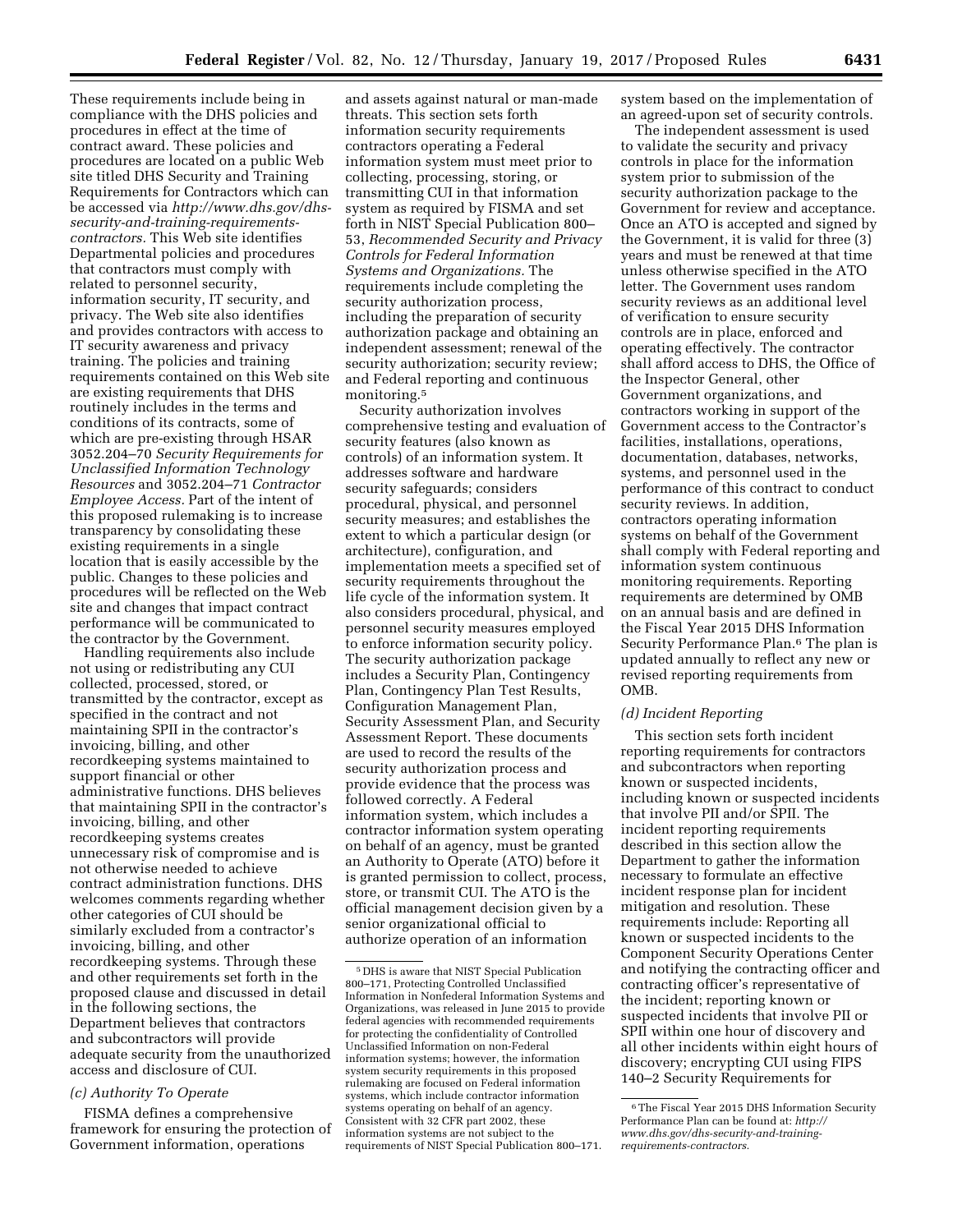These requirements include being in compliance with the DHS policies and procedures in effect at the time of contract award. These policies and procedures are located on a public Web site titled DHS Security and Training Requirements for Contractors which can be accessed via *[http://www.dhs.gov/dhs](http://www.dhs.gov/dhs-security-and-training-requirements-contractors)[security-and-training-requirements](http://www.dhs.gov/dhs-security-and-training-requirements-contractors)[contractors.](http://www.dhs.gov/dhs-security-and-training-requirements-contractors)* This Web site identifies Departmental policies and procedures that contractors must comply with related to personnel security, information security, IT security, and privacy. The Web site also identifies and provides contractors with access to IT security awareness and privacy training. The policies and training requirements contained on this Web site are existing requirements that DHS routinely includes in the terms and conditions of its contracts, some of which are pre-existing through HSAR 3052.204–70 *Security Requirements for Unclassified Information Technology Resources* and 3052.204–71 *Contractor Employee Access.* Part of the intent of this proposed rulemaking is to increase transparency by consolidating these existing requirements in a single location that is easily accessible by the public. Changes to these policies and procedures will be reflected on the Web site and changes that impact contract performance will be communicated to the contractor by the Government.

Handling requirements also include not using or redistributing any CUI collected, processed, stored, or transmitted by the contractor, except as specified in the contract and not maintaining SPII in the contractor's invoicing, billing, and other recordkeeping systems maintained to support financial or other administrative functions. DHS believes that maintaining SPII in the contractor's invoicing, billing, and other recordkeeping systems creates unnecessary risk of compromise and is not otherwise needed to achieve contract administration functions. DHS welcomes comments regarding whether other categories of CUI should be similarly excluded from a contractor's invoicing, billing, and other recordkeeping systems. Through these and other requirements set forth in the proposed clause and discussed in detail in the following sections, the Department believes that contractors and subcontractors will provide adequate security from the unauthorized access and disclosure of CUI.

## *(c) Authority To Operate*

FISMA defines a comprehensive framework for ensuring the protection of Government information, operations

and assets against natural or man-made threats. This section sets forth information security requirements contractors operating a Federal information system must meet prior to collecting, processing, storing, or transmitting CUI in that information system as required by FISMA and set forth in NIST Special Publication 800– 53, *Recommended Security and Privacy Controls for Federal Information Systems and Organizations.* The requirements include completing the security authorization process, including the preparation of security authorization package and obtaining an independent assessment; renewal of the security authorization; security review; and Federal reporting and continuous monitoring.5

Security authorization involves comprehensive testing and evaluation of security features (also known as controls) of an information system. It addresses software and hardware security safeguards; considers procedural, physical, and personnel security measures; and establishes the extent to which a particular design (or architecture), configuration, and implementation meets a specified set of security requirements throughout the life cycle of the information system. It also considers procedural, physical, and personnel security measures employed to enforce information security policy. The security authorization package includes a Security Plan, Contingency Plan, Contingency Plan Test Results, Configuration Management Plan, Security Assessment Plan, and Security Assessment Report. These documents are used to record the results of the security authorization process and provide evidence that the process was followed correctly. A Federal information system, which includes a contractor information system operating on behalf of an agency, must be granted an Authority to Operate (ATO) before it is granted permission to collect, process, store, or transmit CUI. The ATO is the official management decision given by a senior organizational official to authorize operation of an information

system based on the implementation of an agreed-upon set of security controls.

The independent assessment is used to validate the security and privacy controls in place for the information system prior to submission of the security authorization package to the Government for review and acceptance. Once an ATO is accepted and signed by the Government, it is valid for three (3) years and must be renewed at that time unless otherwise specified in the ATO letter. The Government uses random security reviews as an additional level of verification to ensure security controls are in place, enforced and operating effectively. The contractor shall afford access to DHS, the Office of the Inspector General, other Government organizations, and contractors working in support of the Government access to the Contractor's facilities, installations, operations, documentation, databases, networks, systems, and personnel used in the performance of this contract to conduct security reviews. In addition, contractors operating information systems on behalf of the Government shall comply with Federal reporting and information system continuous monitoring requirements. Reporting requirements are determined by OMB on an annual basis and are defined in the Fiscal Year 2015 DHS Information Security Performance Plan.6 The plan is updated annually to reflect any new or revised reporting requirements from OMB.

### *(d) Incident Reporting*

This section sets forth incident reporting requirements for contractors and subcontractors when reporting known or suspected incidents, including known or suspected incidents that involve PII and/or SPII. The incident reporting requirements described in this section allow the Department to gather the information necessary to formulate an effective incident response plan for incident mitigation and resolution. These requirements include: Reporting all known or suspected incidents to the Component Security Operations Center and notifying the contracting officer and contracting officer's representative of the incident; reporting known or suspected incidents that involve PII or SPII within one hour of discovery and all other incidents within eight hours of discovery; encrypting CUI using FIPS 140–2 Security Requirements for

<sup>5</sup> DHS is aware that NIST Special Publication 800–171, Protecting Controlled Unclassified Information in Nonfederal Information Systems and Organizations, was released in June 2015 to provide federal agencies with recommended requirements for protecting the confidentiality of Controlled Unclassified Information on non-Federal information systems; however, the information system security requirements in this proposed rulemaking are focused on Federal information systems, which include contractor information systems operating on behalf of an agency. Consistent with 32 CFR part 2002, these information systems are not subject to the requirements of NIST Special Publication 800–171.

<sup>6</sup>The Fiscal Year 2015 DHS Information Security Performance Plan can be found at: *[http://](http://www.dhs.gov/dhs-security-and-training-requirements-contractors) [www.dhs.gov/dhs-security-and-training](http://www.dhs.gov/dhs-security-and-training-requirements-contractors)[requirements-contractors.](http://www.dhs.gov/dhs-security-and-training-requirements-contractors)*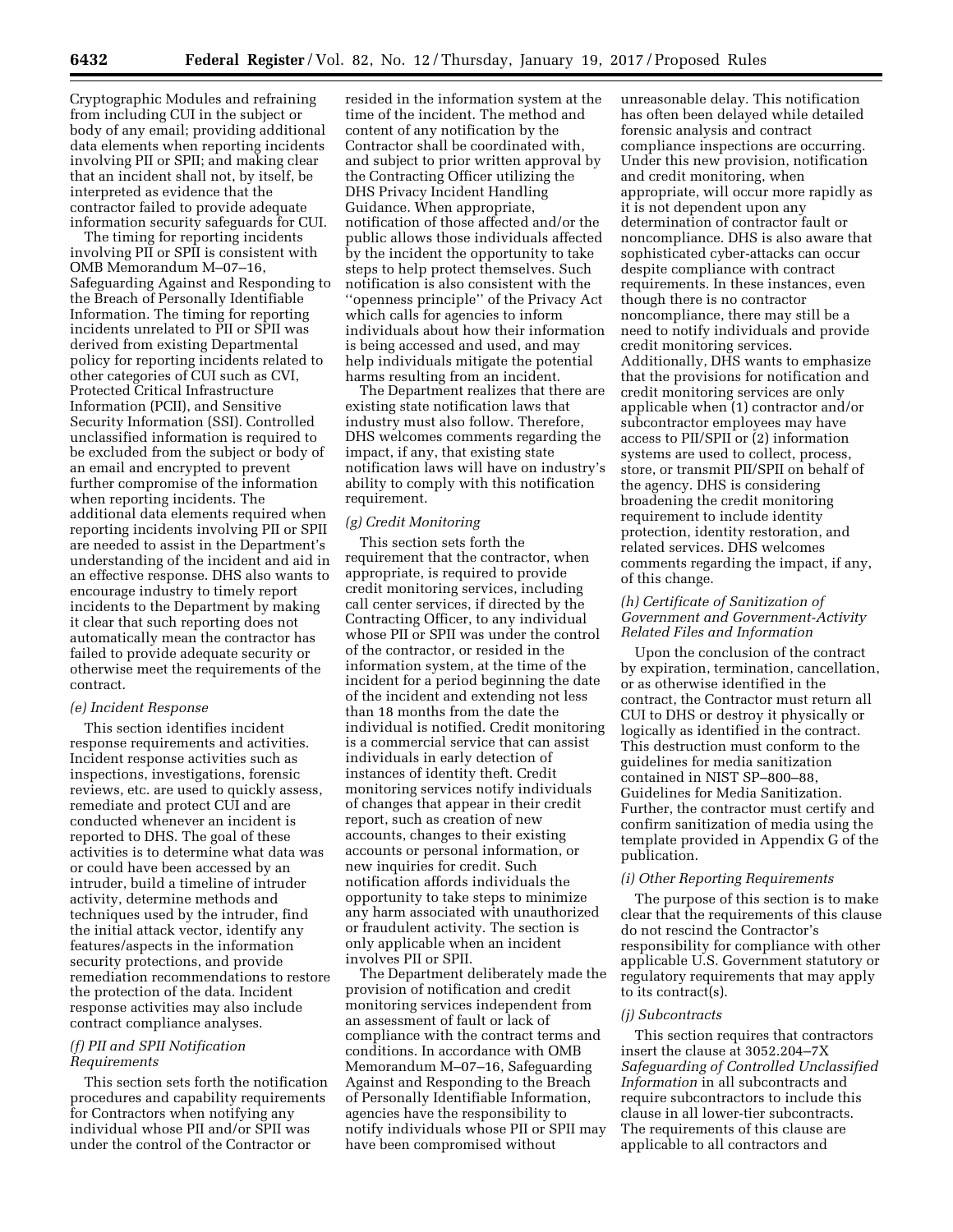Cryptographic Modules and refraining from including CUI in the subject or body of any email; providing additional data elements when reporting incidents involving PII or SPII; and making clear that an incident shall not, by itself, be interpreted as evidence that the contractor failed to provide adequate information security safeguards for CUI.

The timing for reporting incidents involving PII or SPII is consistent with OMB Memorandum M–07–16, Safeguarding Against and Responding to the Breach of Personally Identifiable Information. The timing for reporting incidents unrelated to PII or SPII was derived from existing Departmental policy for reporting incidents related to other categories of CUI such as CVI, Protected Critical Infrastructure Information (PCII), and Sensitive Security Information (SSI). Controlled unclassified information is required to be excluded from the subject or body of an email and encrypted to prevent further compromise of the information when reporting incidents. The additional data elements required when reporting incidents involving PII or SPII are needed to assist in the Department's understanding of the incident and aid in an effective response. DHS also wants to encourage industry to timely report incidents to the Department by making it clear that such reporting does not automatically mean the contractor has failed to provide adequate security or otherwise meet the requirements of the contract.

### *(e) Incident Response*

This section identifies incident response requirements and activities. Incident response activities such as inspections, investigations, forensic reviews, etc. are used to quickly assess, remediate and protect CUI and are conducted whenever an incident is reported to DHS. The goal of these activities is to determine what data was or could have been accessed by an intruder, build a timeline of intruder activity, determine methods and techniques used by the intruder, find the initial attack vector, identify any features/aspects in the information security protections, and provide remediation recommendations to restore the protection of the data. Incident response activities may also include contract compliance analyses.

## *(f) PII and SPII Notification Requirements*

This section sets forth the notification procedures and capability requirements for Contractors when notifying any individual whose PII and/or SPII was under the control of the Contractor or

resided in the information system at the time of the incident. The method and content of any notification by the Contractor shall be coordinated with, and subject to prior written approval by the Contracting Officer utilizing the DHS Privacy Incident Handling Guidance. When appropriate, notification of those affected and/or the public allows those individuals affected by the incident the opportunity to take steps to help protect themselves. Such notification is also consistent with the ''openness principle'' of the Privacy Act which calls for agencies to inform individuals about how their information is being accessed and used, and may help individuals mitigate the potential harms resulting from an incident.

The Department realizes that there are existing state notification laws that industry must also follow. Therefore, DHS welcomes comments regarding the impact, if any, that existing state notification laws will have on industry's ability to comply with this notification requirement.

# *(g) Credit Monitoring*

This section sets forth the requirement that the contractor, when appropriate, is required to provide credit monitoring services, including call center services, if directed by the Contracting Officer, to any individual whose PII or SPII was under the control of the contractor, or resided in the information system, at the time of the incident for a period beginning the date of the incident and extending not less than 18 months from the date the individual is notified. Credit monitoring is a commercial service that can assist individuals in early detection of instances of identity theft. Credit monitoring services notify individuals of changes that appear in their credit report, such as creation of new accounts, changes to their existing accounts or personal information, or new inquiries for credit. Such notification affords individuals the opportunity to take steps to minimize any harm associated with unauthorized or fraudulent activity. The section is only applicable when an incident involves PII or SPII.

The Department deliberately made the provision of notification and credit monitoring services independent from an assessment of fault or lack of compliance with the contract terms and conditions. In accordance with OMB Memorandum M–07–16, Safeguarding Against and Responding to the Breach of Personally Identifiable Information, agencies have the responsibility to notify individuals whose PII or SPII may have been compromised without

unreasonable delay. This notification has often been delayed while detailed forensic analysis and contract compliance inspections are occurring. Under this new provision, notification and credit monitoring, when appropriate, will occur more rapidly as it is not dependent upon any determination of contractor fault or noncompliance. DHS is also aware that sophisticated cyber-attacks can occur despite compliance with contract requirements. In these instances, even though there is no contractor noncompliance, there may still be a need to notify individuals and provide credit monitoring services. Additionally, DHS wants to emphasize that the provisions for notification and credit monitoring services are only applicable when (1) contractor and/or subcontractor employees may have access to PII/SPII or (2) information systems are used to collect, process, store, or transmit PII/SPII on behalf of the agency. DHS is considering broadening the credit monitoring requirement to include identity protection, identity restoration, and related services. DHS welcomes comments regarding the impact, if any, of this change.

#### *(h) Certificate of Sanitization of Government and Government-Activity Related Files and Information*

Upon the conclusion of the contract by expiration, termination, cancellation, or as otherwise identified in the contract, the Contractor must return all CUI to DHS or destroy it physically or logically as identified in the contract. This destruction must conform to the guidelines for media sanitization contained in NIST SP–800–88, Guidelines for Media Sanitization. Further, the contractor must certify and confirm sanitization of media using the template provided in Appendix G of the publication.

### *(i) Other Reporting Requirements*

The purpose of this section is to make clear that the requirements of this clause do not rescind the Contractor's responsibility for compliance with other applicable U.S. Government statutory or regulatory requirements that may apply to its contract(s).

## *(j) Subcontracts*

This section requires that contractors insert the clause at 3052.204–7X *Safeguarding of Controlled Unclassified Information* in all subcontracts and require subcontractors to include this clause in all lower-tier subcontracts. The requirements of this clause are applicable to all contractors and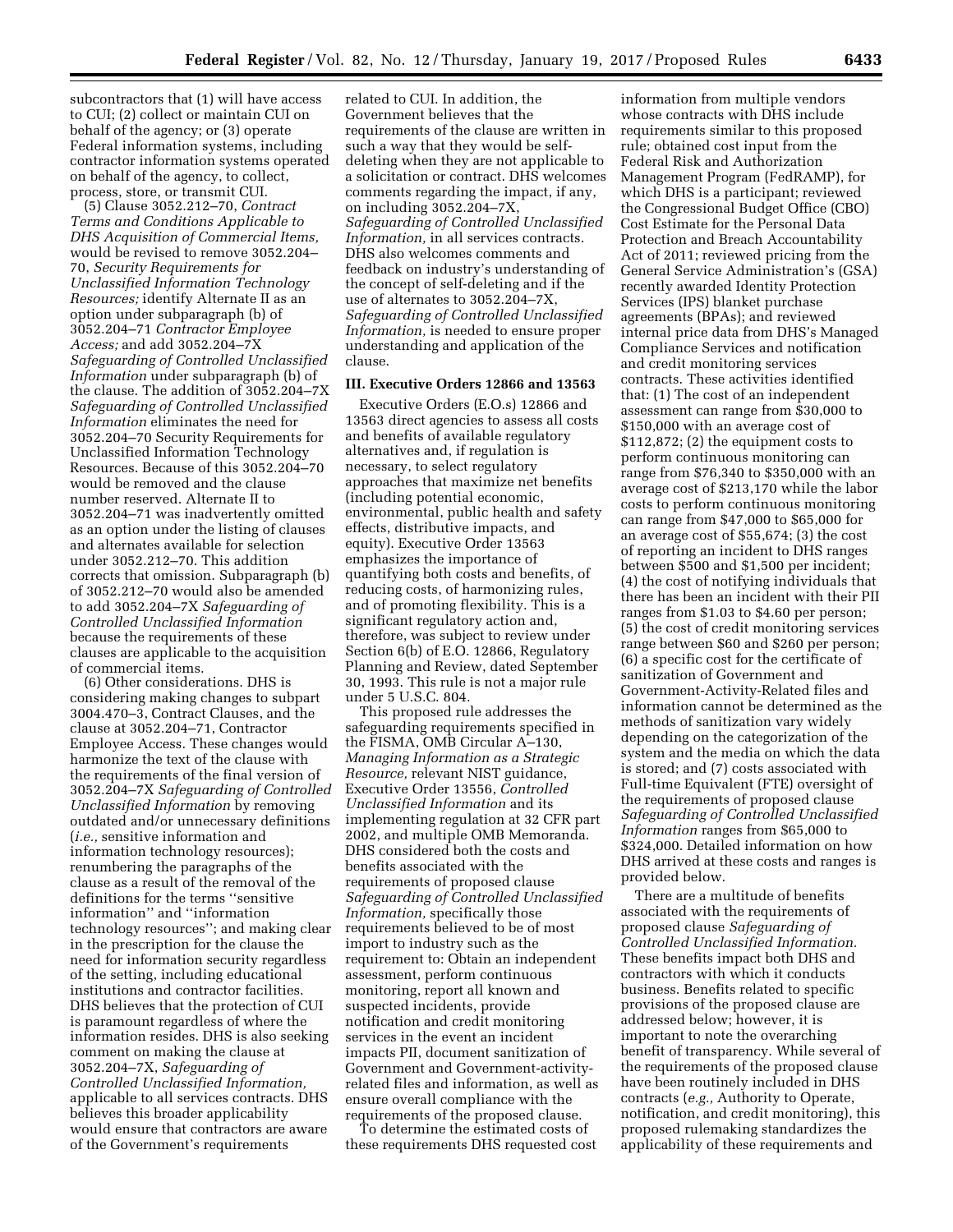subcontractors that (1) will have access to CUI; (2) collect or maintain CUI on behalf of the agency; or (3) operate Federal information systems, including contractor information systems operated on behalf of the agency, to collect, process, store, or transmit CUI.

(5) Clause 3052.212–70, *Contract Terms and Conditions Applicable to DHS Acquisition of Commercial Items,*  would be revised to remove 3052.204– 70, *Security Requirements for Unclassified Information Technology Resources;* identify Alternate II as an option under subparagraph (b) of 3052.204–71 *Contractor Employee Access;* and add 3052.204–7X *Safeguarding of Controlled Unclassified Information* under subparagraph (b) of the clause. The addition of 3052.204–7X *Safeguarding of Controlled Unclassified Information* eliminates the need for 3052.204–70 Security Requirements for Unclassified Information Technology Resources. Because of this 3052.204–70 would be removed and the clause number reserved. Alternate II to 3052.204–71 was inadvertently omitted as an option under the listing of clauses and alternates available for selection under 3052.212–70. This addition corrects that omission. Subparagraph (b) of 3052.212–70 would also be amended to add 3052.204–7X *Safeguarding of Controlled Unclassified Information*  because the requirements of these clauses are applicable to the acquisition of commercial items.

(6) Other considerations. DHS is considering making changes to subpart 3004.470–3, Contract Clauses, and the clause at 3052.204–71, Contractor Employee Access. These changes would harmonize the text of the clause with the requirements of the final version of 3052.204–7X *Safeguarding of Controlled Unclassified Information* by removing outdated and/or unnecessary definitions (*i.e.,* sensitive information and information technology resources); renumbering the paragraphs of the clause as a result of the removal of the definitions for the terms ''sensitive information'' and ''information technology resources''; and making clear in the prescription for the clause the need for information security regardless of the setting, including educational institutions and contractor facilities. DHS believes that the protection of CUI is paramount regardless of where the information resides. DHS is also seeking comment on making the clause at 3052.204–7X, *Safeguarding of Controlled Unclassified Information,*  applicable to all services contracts. DHS believes this broader applicability would ensure that contractors are aware of the Government's requirements

related to CUI. In addition, the Government believes that the requirements of the clause are written in such a way that they would be selfdeleting when they are not applicable to a solicitation or contract. DHS welcomes comments regarding the impact, if any, on including 3052.204–7X, *Safeguarding of Controlled Unclassified Information,* in all services contracts. DHS also welcomes comments and feedback on industry's understanding of the concept of self-deleting and if the use of alternates to 3052.204–7X, *Safeguarding of Controlled Unclassified Information,* is needed to ensure proper understanding and application of the clause.

#### **III. Executive Orders 12866 and 13563**

Executive Orders (E.O.s) 12866 and 13563 direct agencies to assess all costs and benefits of available regulatory alternatives and, if regulation is necessary, to select regulatory approaches that maximize net benefits (including potential economic, environmental, public health and safety effects, distributive impacts, and equity). Executive Order 13563 emphasizes the importance of quantifying both costs and benefits, of reducing costs, of harmonizing rules, and of promoting flexibility. This is a significant regulatory action and, therefore, was subject to review under Section 6(b) of E.O. 12866, Regulatory Planning and Review, dated September 30, 1993. This rule is not a major rule under 5 U.S.C. 804.

This proposed rule addresses the safeguarding requirements specified in the FISMA, OMB Circular A–130, *Managing Information as a Strategic Resource,* relevant NIST guidance, Executive Order 13556, *Controlled Unclassified Information* and its implementing regulation at 32 CFR part 2002, and multiple OMB Memoranda. DHS considered both the costs and benefits associated with the requirements of proposed clause *Safeguarding of Controlled Unclassified Information,* specifically those requirements believed to be of most import to industry such as the requirement to: Obtain an independent assessment, perform continuous monitoring, report all known and suspected incidents, provide notification and credit monitoring services in the event an incident impacts PII, document sanitization of Government and Government-activityrelated files and information, as well as ensure overall compliance with the requirements of the proposed clause.

To determine the estimated costs of these requirements DHS requested cost

information from multiple vendors whose contracts with DHS include requirements similar to this proposed rule; obtained cost input from the Federal Risk and Authorization Management Program (FedRAMP), for which DHS is a participant; reviewed the Congressional Budget Office (CBO) Cost Estimate for the Personal Data Protection and Breach Accountability Act of 2011; reviewed pricing from the General Service Administration's (GSA) recently awarded Identity Protection Services (IPS) blanket purchase agreements (BPAs); and reviewed internal price data from DHS's Managed Compliance Services and notification and credit monitoring services contracts. These activities identified that: (1) The cost of an independent assessment can range from \$30,000 to \$150,000 with an average cost of \$112,872; (2) the equipment costs to perform continuous monitoring can range from \$76,340 to \$350,000 with an average cost of \$213,170 while the labor costs to perform continuous monitoring can range from \$47,000 to \$65,000 for an average cost of \$55,674; (3) the cost of reporting an incident to DHS ranges between \$500 and \$1,500 per incident; (4) the cost of notifying individuals that there has been an incident with their PII ranges from \$1.03 to \$4.60 per person; (5) the cost of credit monitoring services range between \$60 and \$260 per person; (6) a specific cost for the certificate of sanitization of Government and Government-Activity-Related files and information cannot be determined as the methods of sanitization vary widely depending on the categorization of the system and the media on which the data is stored; and (7) costs associated with Full-time Equivalent (FTE) oversight of the requirements of proposed clause *Safeguarding of Controlled Unclassified Information* ranges from \$65,000 to \$324,000. Detailed information on how DHS arrived at these costs and ranges is provided below.

There are a multitude of benefits associated with the requirements of proposed clause *Safeguarding of Controlled Unclassified Information.*  These benefits impact both DHS and contractors with which it conducts business. Benefits related to specific provisions of the proposed clause are addressed below; however, it is important to note the overarching benefit of transparency. While several of the requirements of the proposed clause have been routinely included in DHS contracts (*e.g.,* Authority to Operate, notification, and credit monitoring), this proposed rulemaking standardizes the applicability of these requirements and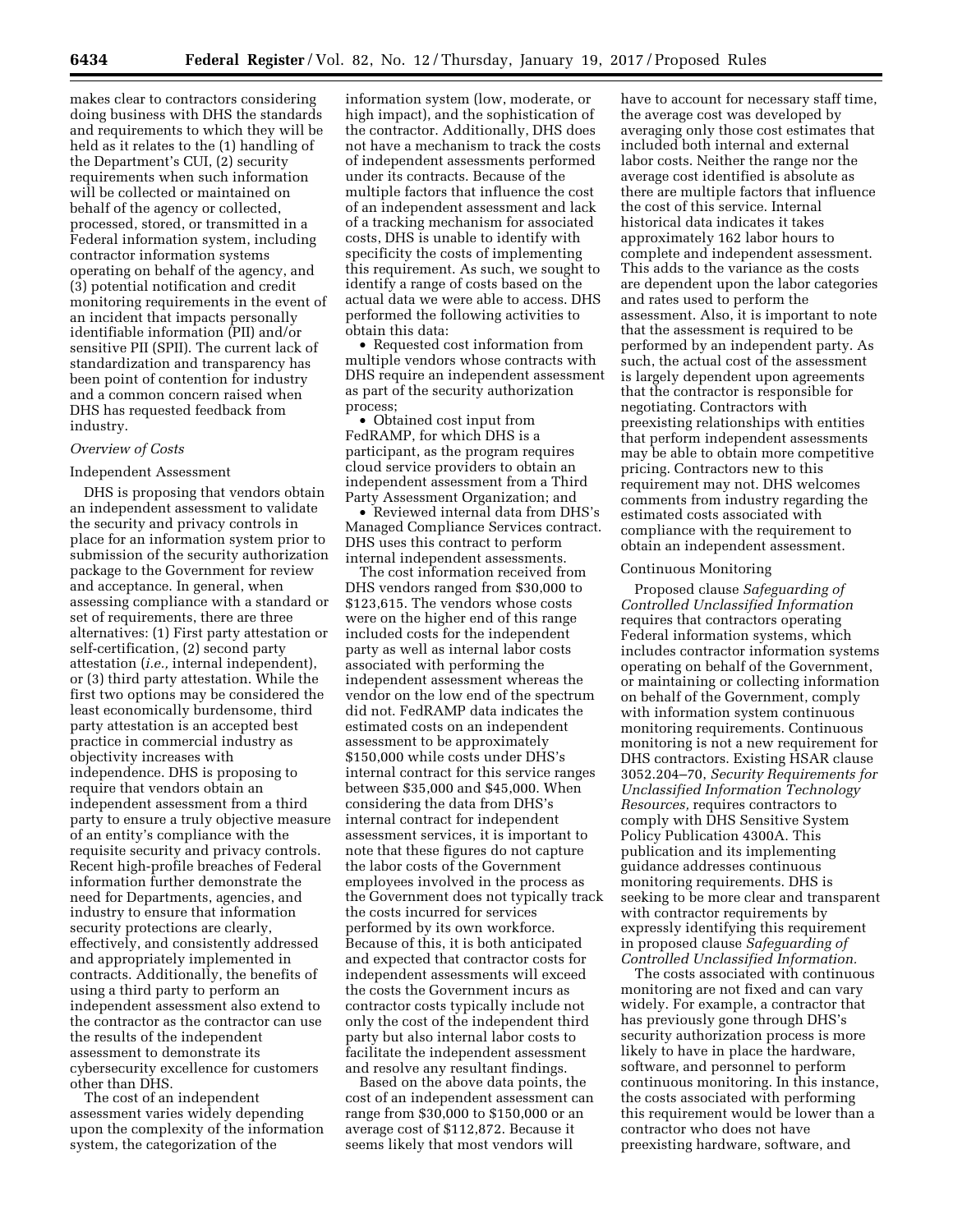makes clear to contractors considering doing business with DHS the standards and requirements to which they will be held as it relates to the (1) handling of the Department's CUI, (2) security requirements when such information will be collected or maintained on behalf of the agency or collected, processed, stored, or transmitted in a Federal information system, including contractor information systems operating on behalf of the agency, and (3) potential notification and credit monitoring requirements in the event of an incident that impacts personally identifiable information (PII) and/or sensitive PII (SPII). The current lack of standardization and transparency has been point of contention for industry and a common concern raised when DHS has requested feedback from industry.

#### *Overview of Costs*

#### Independent Assessment

DHS is proposing that vendors obtain an independent assessment to validate the security and privacy controls in place for an information system prior to submission of the security authorization package to the Government for review and acceptance. In general, when assessing compliance with a standard or set of requirements, there are three alternatives: (1) First party attestation or self-certification, (2) second party attestation (*i.e.,* internal independent), or (3) third party attestation. While the first two options may be considered the least economically burdensome, third party attestation is an accepted best practice in commercial industry as objectivity increases with independence. DHS is proposing to require that vendors obtain an independent assessment from a third party to ensure a truly objective measure of an entity's compliance with the requisite security and privacy controls. Recent high-profile breaches of Federal information further demonstrate the need for Departments, agencies, and industry to ensure that information security protections are clearly, effectively, and consistently addressed and appropriately implemented in contracts. Additionally, the benefits of using a third party to perform an independent assessment also extend to the contractor as the contractor can use the results of the independent assessment to demonstrate its cybersecurity excellence for customers other than DHS.

The cost of an independent assessment varies widely depending upon the complexity of the information system, the categorization of the

information system (low, moderate, or high impact), and the sophistication of the contractor. Additionally, DHS does not have a mechanism to track the costs of independent assessments performed under its contracts. Because of the multiple factors that influence the cost of an independent assessment and lack of a tracking mechanism for associated costs, DHS is unable to identify with specificity the costs of implementing this requirement. As such, we sought to identify a range of costs based on the actual data we were able to access. DHS performed the following activities to obtain this data:

• Requested cost information from multiple vendors whose contracts with DHS require an independent assessment as part of the security authorization process;

• Obtained cost input from FedRAMP, for which DHS is a participant, as the program requires cloud service providers to obtain an independent assessment from a Third Party Assessment Organization; and

• Reviewed internal data from DHS's Managed Compliance Services contract. DHS uses this contract to perform internal independent assessments.

The cost information received from DHS vendors ranged from \$30,000 to \$123,615. The vendors whose costs were on the higher end of this range included costs for the independent party as well as internal labor costs associated with performing the independent assessment whereas the vendor on the low end of the spectrum did not. FedRAMP data indicates the estimated costs on an independent assessment to be approximately \$150,000 while costs under DHS's internal contract for this service ranges between \$35,000 and \$45,000. When considering the data from DHS's internal contract for independent assessment services, it is important to note that these figures do not capture the labor costs of the Government employees involved in the process as the Government does not typically track the costs incurred for services performed by its own workforce. Because of this, it is both anticipated and expected that contractor costs for independent assessments will exceed the costs the Government incurs as contractor costs typically include not only the cost of the independent third party but also internal labor costs to facilitate the independent assessment and resolve any resultant findings.

Based on the above data points, the cost of an independent assessment can range from \$30,000 to \$150,000 or an average cost of \$112,872. Because it seems likely that most vendors will

have to account for necessary staff time, the average cost was developed by averaging only those cost estimates that included both internal and external labor costs. Neither the range nor the average cost identified is absolute as there are multiple factors that influence the cost of this service. Internal historical data indicates it takes approximately 162 labor hours to complete and independent assessment. This adds to the variance as the costs are dependent upon the labor categories and rates used to perform the assessment. Also, it is important to note that the assessment is required to be performed by an independent party. As such, the actual cost of the assessment is largely dependent upon agreements that the contractor is responsible for negotiating. Contractors with preexisting relationships with entities that perform independent assessments may be able to obtain more competitive pricing. Contractors new to this requirement may not. DHS welcomes comments from industry regarding the estimated costs associated with compliance with the requirement to obtain an independent assessment.

#### Continuous Monitoring

Proposed clause *Safeguarding of Controlled Unclassified Information*  requires that contractors operating Federal information systems, which includes contractor information systems operating on behalf of the Government, or maintaining or collecting information on behalf of the Government, comply with information system continuous monitoring requirements. Continuous monitoring is not a new requirement for DHS contractors. Existing HSAR clause 3052.204–70, *Security Requirements for Unclassified Information Technology Resources,* requires contractors to comply with DHS Sensitive System Policy Publication 4300A. This publication and its implementing guidance addresses continuous monitoring requirements. DHS is seeking to be more clear and transparent with contractor requirements by expressly identifying this requirement in proposed clause *Safeguarding of Controlled Unclassified Information.* 

The costs associated with continuous monitoring are not fixed and can vary widely. For example, a contractor that has previously gone through DHS's security authorization process is more likely to have in place the hardware, software, and personnel to perform continuous monitoring. In this instance, the costs associated with performing this requirement would be lower than a contractor who does not have preexisting hardware, software, and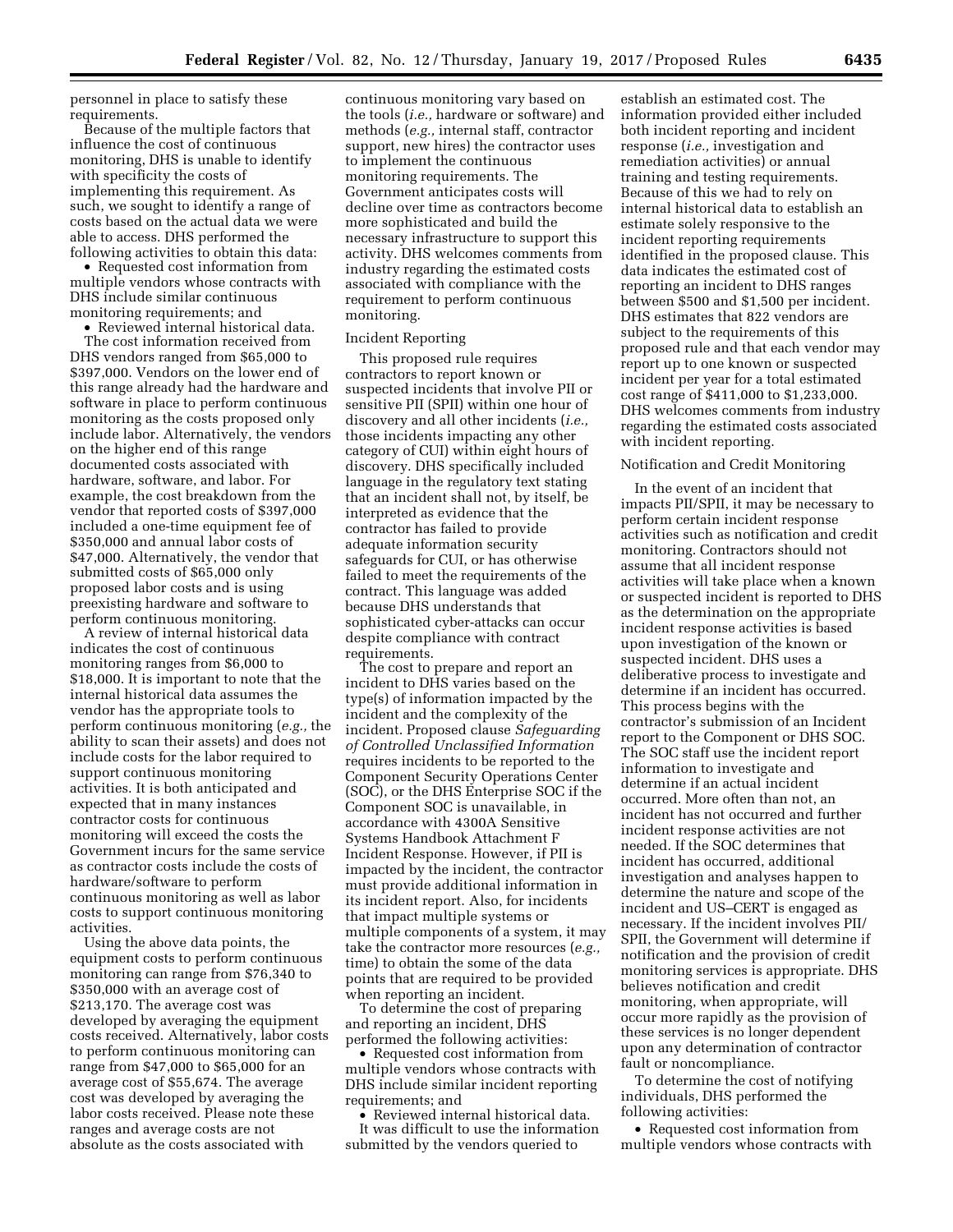personnel in place to satisfy these requirements.

Because of the multiple factors that influence the cost of continuous monitoring, DHS is unable to identify with specificity the costs of implementing this requirement. As such, we sought to identify a range of costs based on the actual data we were able to access. DHS performed the following activities to obtain this data:

• Requested cost information from multiple vendors whose contracts with DHS include similar continuous monitoring requirements; and

• Reviewed internal historical data. The cost information received from DHS vendors ranged from \$65,000 to \$397,000. Vendors on the lower end of this range already had the hardware and software in place to perform continuous monitoring as the costs proposed only include labor. Alternatively, the vendors on the higher end of this range documented costs associated with hardware, software, and labor. For example, the cost breakdown from the vendor that reported costs of \$397,000 included a one-time equipment fee of \$350,000 and annual labor costs of \$47,000. Alternatively, the vendor that submitted costs of \$65,000 only proposed labor costs and is using preexisting hardware and software to perform continuous monitoring.

A review of internal historical data indicates the cost of continuous monitoring ranges from \$6,000 to \$18,000. It is important to note that the internal historical data assumes the vendor has the appropriate tools to perform continuous monitoring (*e.g.,* the ability to scan their assets) and does not include costs for the labor required to support continuous monitoring activities. It is both anticipated and expected that in many instances contractor costs for continuous monitoring will exceed the costs the Government incurs for the same service as contractor costs include the costs of hardware/software to perform continuous monitoring as well as labor costs to support continuous monitoring activities.

Using the above data points, the equipment costs to perform continuous monitoring can range from \$76,340 to \$350,000 with an average cost of \$213,170. The average cost was developed by averaging the equipment costs received. Alternatively, labor costs to perform continuous monitoring can range from \$47,000 to \$65,000 for an average cost of \$55,674. The average cost was developed by averaging the labor costs received. Please note these ranges and average costs are not absolute as the costs associated with

continuous monitoring vary based on the tools (*i.e.,* hardware or software) and methods (*e.g.,* internal staff, contractor support, new hires) the contractor uses to implement the continuous monitoring requirements. The Government anticipates costs will decline over time as contractors become more sophisticated and build the necessary infrastructure to support this activity. DHS welcomes comments from industry regarding the estimated costs associated with compliance with the requirement to perform continuous monitoring.

#### Incident Reporting

This proposed rule requires contractors to report known or suspected incidents that involve PII or sensitive PII (SPII) within one hour of discovery and all other incidents (*i.e.,*  those incidents impacting any other category of CUI) within eight hours of discovery. DHS specifically included language in the regulatory text stating that an incident shall not, by itself, be interpreted as evidence that the contractor has failed to provide adequate information security safeguards for CUI, or has otherwise failed to meet the requirements of the contract. This language was added because DHS understands that sophisticated cyber-attacks can occur despite compliance with contract requirements.

The cost to prepare and report an incident to DHS varies based on the type(s) of information impacted by the incident and the complexity of the incident. Proposed clause *Safeguarding of Controlled Unclassified Information*  requires incidents to be reported to the Component Security Operations Center (SOC), or the DHS Enterprise SOC if the Component SOC is unavailable, in accordance with 4300A Sensitive Systems Handbook Attachment F Incident Response. However, if PII is impacted by the incident, the contractor must provide additional information in its incident report. Also, for incidents that impact multiple systems or multiple components of a system, it may take the contractor more resources (*e.g.,*  time) to obtain the some of the data points that are required to be provided when reporting an incident.

To determine the cost of preparing and reporting an incident, DHS performed the following activities:

• Requested cost information from multiple vendors whose contracts with DHS include similar incident reporting requirements; and

• Reviewed internal historical data. It was difficult to use the information submitted by the vendors queried to

establish an estimated cost. The information provided either included both incident reporting and incident response (*i.e.,* investigation and remediation activities) or annual training and testing requirements. Because of this we had to rely on internal historical data to establish an estimate solely responsive to the incident reporting requirements identified in the proposed clause. This data indicates the estimated cost of reporting an incident to DHS ranges between \$500 and \$1,500 per incident. DHS estimates that 822 vendors are subject to the requirements of this proposed rule and that each vendor may report up to one known or suspected incident per year for a total estimated cost range of \$411,000 to \$1,233,000. DHS welcomes comments from industry regarding the estimated costs associated with incident reporting.

#### Notification and Credit Monitoring

In the event of an incident that impacts PII/SPII, it may be necessary to perform certain incident response activities such as notification and credit monitoring. Contractors should not assume that all incident response activities will take place when a known or suspected incident is reported to DHS as the determination on the appropriate incident response activities is based upon investigation of the known or suspected incident. DHS uses a deliberative process to investigate and determine if an incident has occurred. This process begins with the contractor's submission of an Incident report to the Component or DHS SOC. The SOC staff use the incident report information to investigate and determine if an actual incident occurred. More often than not, an incident has not occurred and further incident response activities are not needed. If the SOC determines that incident has occurred, additional investigation and analyses happen to determine the nature and scope of the incident and US–CERT is engaged as necessary. If the incident involves PII/ SPII, the Government will determine if notification and the provision of credit monitoring services is appropriate. DHS believes notification and credit monitoring, when appropriate, will occur more rapidly as the provision of these services is no longer dependent upon any determination of contractor fault or noncompliance.

To determine the cost of notifying individuals, DHS performed the following activities:

• Requested cost information from multiple vendors whose contracts with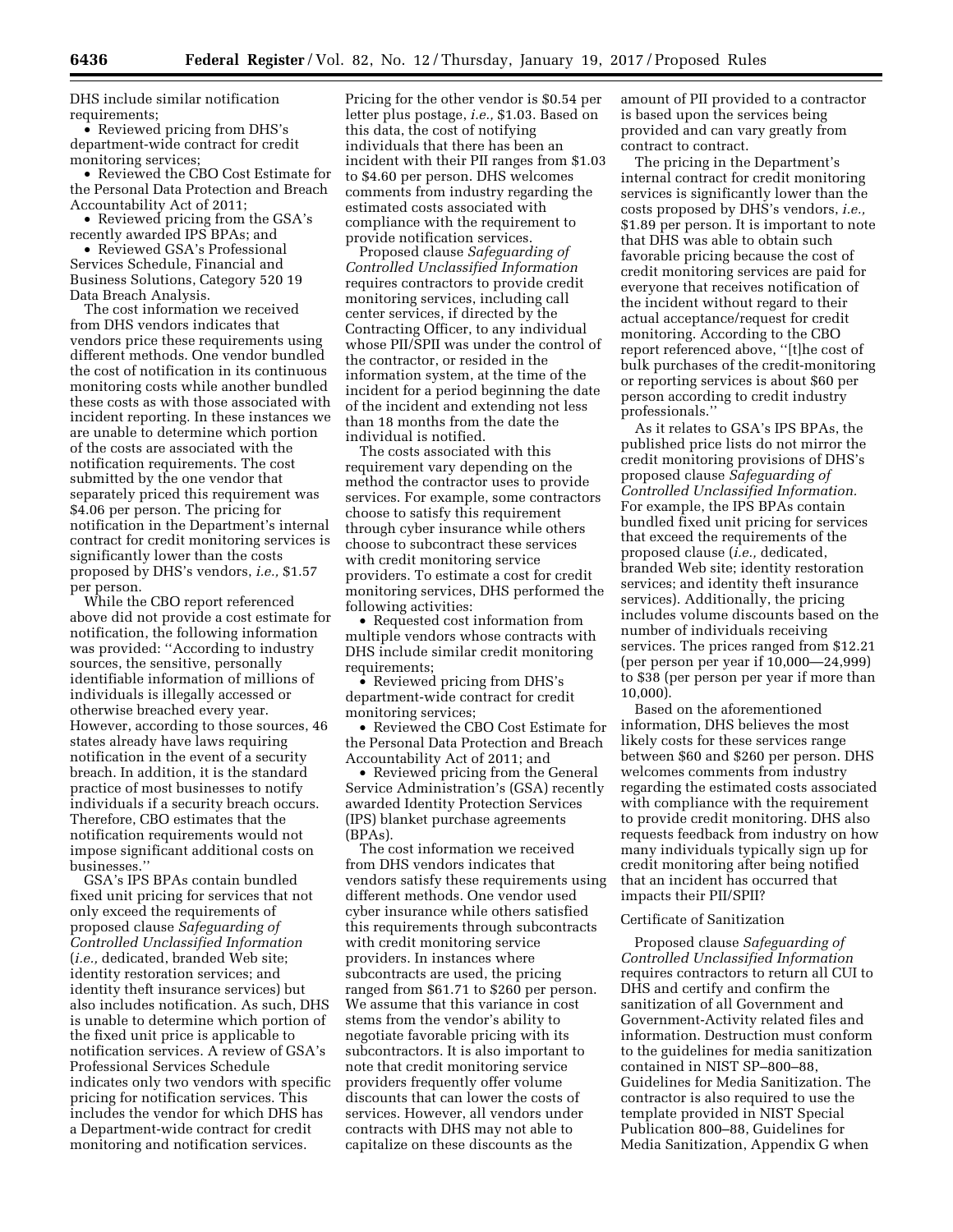DHS include similar notification requirements;

• Reviewed pricing from DHS's department-wide contract for credit monitoring services;

• Reviewed the CBO Cost Estimate for the Personal Data Protection and Breach Accountability Act of 2011;

• Reviewed pricing from the GSA's recently awarded IPS BPAs; and

• Reviewed GSA's Professional Services Schedule, Financial and Business Solutions, Category 520 19 Data Breach Analysis.

The cost information we received from DHS vendors indicates that vendors price these requirements using different methods. One vendor bundled the cost of notification in its continuous monitoring costs while another bundled these costs as with those associated with incident reporting. In these instances we are unable to determine which portion of the costs are associated with the notification requirements. The cost submitted by the one vendor that separately priced this requirement was \$4.06 per person. The pricing for notification in the Department's internal contract for credit monitoring services is significantly lower than the costs proposed by DHS's vendors, *i.e.,* \$1.57 per person.

While the CBO report referenced above did not provide a cost estimate for notification, the following information was provided: ''According to industry sources, the sensitive, personally identifiable information of millions of individuals is illegally accessed or otherwise breached every year. However, according to those sources, 46 states already have laws requiring notification in the event of a security breach. In addition, it is the standard practice of most businesses to notify individuals if a security breach occurs. Therefore, CBO estimates that the notification requirements would not impose significant additional costs on businesses.''

GSA's IPS BPAs contain bundled fixed unit pricing for services that not only exceed the requirements of proposed clause *Safeguarding of Controlled Unclassified Information*  (*i.e.,* dedicated, branded Web site; identity restoration services; and identity theft insurance services) but also includes notification. As such, DHS is unable to determine which portion of the fixed unit price is applicable to notification services. A review of GSA's Professional Services Schedule indicates only two vendors with specific pricing for notification services. This includes the vendor for which DHS has a Department-wide contract for credit monitoring and notification services.

Pricing for the other vendor is \$0.54 per letter plus postage, *i.e.,* \$1.03. Based on this data, the cost of notifying individuals that there has been an incident with their PII ranges from \$1.03 to \$4.60 per person. DHS welcomes comments from industry regarding the estimated costs associated with compliance with the requirement to provide notification services.

Proposed clause *Safeguarding of Controlled Unclassified Information*  requires contractors to provide credit monitoring services, including call center services, if directed by the Contracting Officer, to any individual whose PII/SPII was under the control of the contractor, or resided in the information system, at the time of the incident for a period beginning the date of the incident and extending not less than 18 months from the date the individual is notified.

The costs associated with this requirement vary depending on the method the contractor uses to provide services. For example, some contractors choose to satisfy this requirement through cyber insurance while others choose to subcontract these services with credit monitoring service providers. To estimate a cost for credit monitoring services, DHS performed the following activities:

• Requested cost information from multiple vendors whose contracts with DHS include similar credit monitoring requirements;

• Reviewed pricing from DHS's department-wide contract for credit monitoring services;

• Reviewed the CBO Cost Estimate for the Personal Data Protection and Breach Accountability Act of 2011; and

• Reviewed pricing from the General Service Administration's (GSA) recently awarded Identity Protection Services (IPS) blanket purchase agreements (BPAs).

The cost information we received from DHS vendors indicates that vendors satisfy these requirements using different methods. One vendor used cyber insurance while others satisfied this requirements through subcontracts with credit monitoring service providers. In instances where subcontracts are used, the pricing ranged from \$61.71 to \$260 per person. We assume that this variance in cost stems from the vendor's ability to negotiate favorable pricing with its subcontractors. It is also important to note that credit monitoring service providers frequently offer volume discounts that can lower the costs of services. However, all vendors under contracts with DHS may not able to capitalize on these discounts as the

amount of PII provided to a contractor is based upon the services being provided and can vary greatly from contract to contract.

The pricing in the Department's internal contract for credit monitoring services is significantly lower than the costs proposed by DHS's vendors, *i.e.,*  \$1.89 per person. It is important to note that DHS was able to obtain such favorable pricing because the cost of credit monitoring services are paid for everyone that receives notification of the incident without regard to their actual acceptance/request for credit monitoring. According to the CBO report referenced above, ''[t]he cost of bulk purchases of the credit-monitoring or reporting services is about \$60 per person according to credit industry professionals.''

As it relates to GSA's IPS BPAs, the published price lists do not mirror the credit monitoring provisions of DHS's proposed clause *Safeguarding of Controlled Unclassified Information.*  For example, the IPS BPAs contain bundled fixed unit pricing for services that exceed the requirements of the proposed clause (*i.e.,* dedicated, branded Web site; identity restoration services; and identity theft insurance services). Additionally, the pricing includes volume discounts based on the number of individuals receiving services. The prices ranged from \$12.21 (per person per year if 10,000—24,999) to \$38 (per person per year if more than 10,000).

Based on the aforementioned information, DHS believes the most likely costs for these services range between \$60 and \$260 per person. DHS welcomes comments from industry regarding the estimated costs associated with compliance with the requirement to provide credit monitoring. DHS also requests feedback from industry on how many individuals typically sign up for credit monitoring after being notified that an incident has occurred that impacts their PII/SPII?

## Certificate of Sanitization

Proposed clause *Safeguarding of Controlled Unclassified Information*  requires contractors to return all CUI to DHS and certify and confirm the sanitization of all Government and Government-Activity related files and information. Destruction must conform to the guidelines for media sanitization contained in NIST SP–800–88, Guidelines for Media Sanitization. The contractor is also required to use the template provided in NIST Special Publication 800–88, Guidelines for Media Sanitization, Appendix G when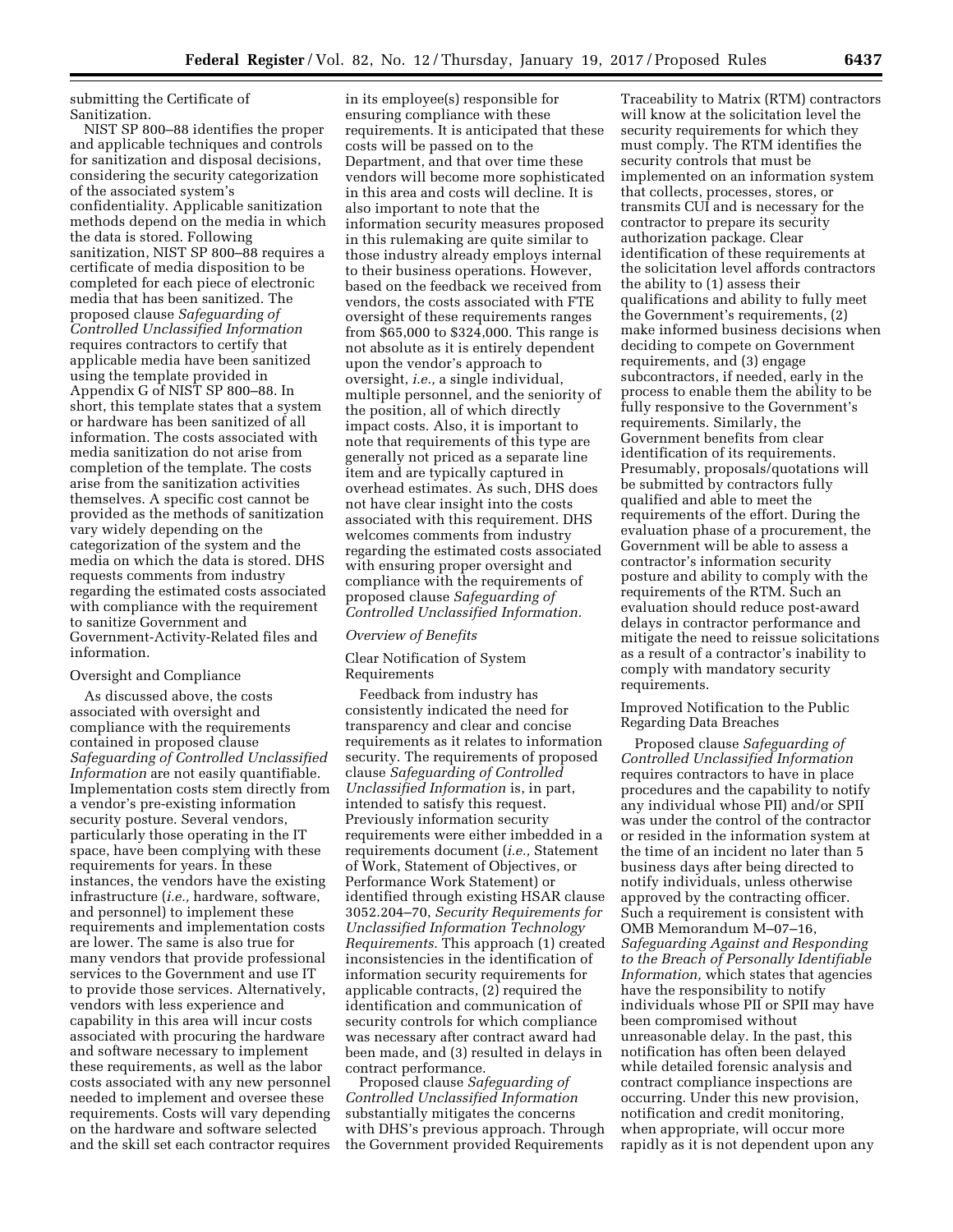submitting the Certificate of Sanitization.

NIST SP 800–88 identifies the proper and applicable techniques and controls for sanitization and disposal decisions, considering the security categorization of the associated system's confidentiality. Applicable sanitization methods depend on the media in which the data is stored. Following sanitization, NIST SP 800–88 requires a certificate of media disposition to be completed for each piece of electronic media that has been sanitized. The proposed clause *Safeguarding of Controlled Unclassified Information*  requires contractors to certify that applicable media have been sanitized using the template provided in Appendix G of NIST SP 800–88. In short, this template states that a system or hardware has been sanitized of all information. The costs associated with media sanitization do not arise from completion of the template. The costs arise from the sanitization activities themselves. A specific cost cannot be provided as the methods of sanitization vary widely depending on the categorization of the system and the media on which the data is stored. DHS requests comments from industry regarding the estimated costs associated with compliance with the requirement to sanitize Government and Government-Activity-Related files and information.

#### Oversight and Compliance

As discussed above, the costs associated with oversight and compliance with the requirements contained in proposed clause *Safeguarding of Controlled Unclassified Information* are not easily quantifiable. Implementation costs stem directly from a vendor's pre-existing information security posture. Several vendors, particularly those operating in the IT space, have been complying with these requirements for years. In these instances, the vendors have the existing infrastructure (*i.e.,* hardware, software, and personnel) to implement these requirements and implementation costs are lower. The same is also true for many vendors that provide professional services to the Government and use IT to provide those services. Alternatively, vendors with less experience and capability in this area will incur costs associated with procuring the hardware and software necessary to implement these requirements, as well as the labor costs associated with any new personnel needed to implement and oversee these requirements. Costs will vary depending on the hardware and software selected and the skill set each contractor requires

in its employee(s) responsible for ensuring compliance with these requirements. It is anticipated that these costs will be passed on to the Department, and that over time these vendors will become more sophisticated in this area and costs will decline. It is also important to note that the information security measures proposed in this rulemaking are quite similar to those industry already employs internal to their business operations. However, based on the feedback we received from vendors, the costs associated with FTE oversight of these requirements ranges from \$65,000 to \$324,000. This range is not absolute as it is entirely dependent upon the vendor's approach to oversight, *i.e.,* a single individual, multiple personnel, and the seniority of the position, all of which directly impact costs. Also, it is important to note that requirements of this type are generally not priced as a separate line item and are typically captured in overhead estimates. As such, DHS does not have clear insight into the costs associated with this requirement. DHS welcomes comments from industry regarding the estimated costs associated with ensuring proper oversight and compliance with the requirements of proposed clause *Safeguarding of Controlled Unclassified Information.* 

### *Overview of Benefits*

Clear Notification of System Requirements

Feedback from industry has consistently indicated the need for transparency and clear and concise requirements as it relates to information security. The requirements of proposed clause *Safeguarding of Controlled Unclassified Information* is, in part, intended to satisfy this request. Previously information security requirements were either imbedded in a requirements document (*i.e.,* Statement of Work, Statement of Objectives, or Performance Work Statement) or identified through existing HSAR clause 3052.204–70, *Security Requirements for Unclassified Information Technology Requirements.* This approach (1) created inconsistencies in the identification of information security requirements for applicable contracts, (2) required the identification and communication of security controls for which compliance was necessary after contract award had been made, and (3) resulted in delays in contract performance.

Proposed clause *Safeguarding of Controlled Unclassified Information*  substantially mitigates the concerns with DHS's previous approach. Through the Government provided Requirements

Traceability to Matrix (RTM) contractors will know at the solicitation level the security requirements for which they must comply. The RTM identifies the security controls that must be implemented on an information system that collects, processes, stores, or transmits CUI and is necessary for the contractor to prepare its security authorization package. Clear identification of these requirements at the solicitation level affords contractors the ability to (1) assess their qualifications and ability to fully meet the Government's requirements, (2) make informed business decisions when deciding to compete on Government requirements, and (3) engage subcontractors, if needed, early in the process to enable them the ability to be fully responsive to the Government's requirements. Similarly, the Government benefits from clear identification of its requirements. Presumably, proposals/quotations will be submitted by contractors fully qualified and able to meet the requirements of the effort. During the evaluation phase of a procurement, the Government will be able to assess a contractor's information security posture and ability to comply with the requirements of the RTM. Such an evaluation should reduce post-award delays in contractor performance and mitigate the need to reissue solicitations as a result of a contractor's inability to comply with mandatory security requirements.

Improved Notification to the Public Regarding Data Breaches

Proposed clause *Safeguarding of Controlled Unclassified Information*  requires contractors to have in place procedures and the capability to notify any individual whose PII) and/or SPII was under the control of the contractor or resided in the information system at the time of an incident no later than 5 business days after being directed to notify individuals, unless otherwise approved by the contracting officer. Such a requirement is consistent with OMB Memorandum M–07–16, *Safeguarding Against and Responding to the Breach of Personally Identifiable Information,* which states that agencies have the responsibility to notify individuals whose PII or SPII may have been compromised without unreasonable delay. In the past, this notification has often been delayed while detailed forensic analysis and contract compliance inspections are occurring. Under this new provision, notification and credit monitoring, when appropriate, will occur more rapidly as it is not dependent upon any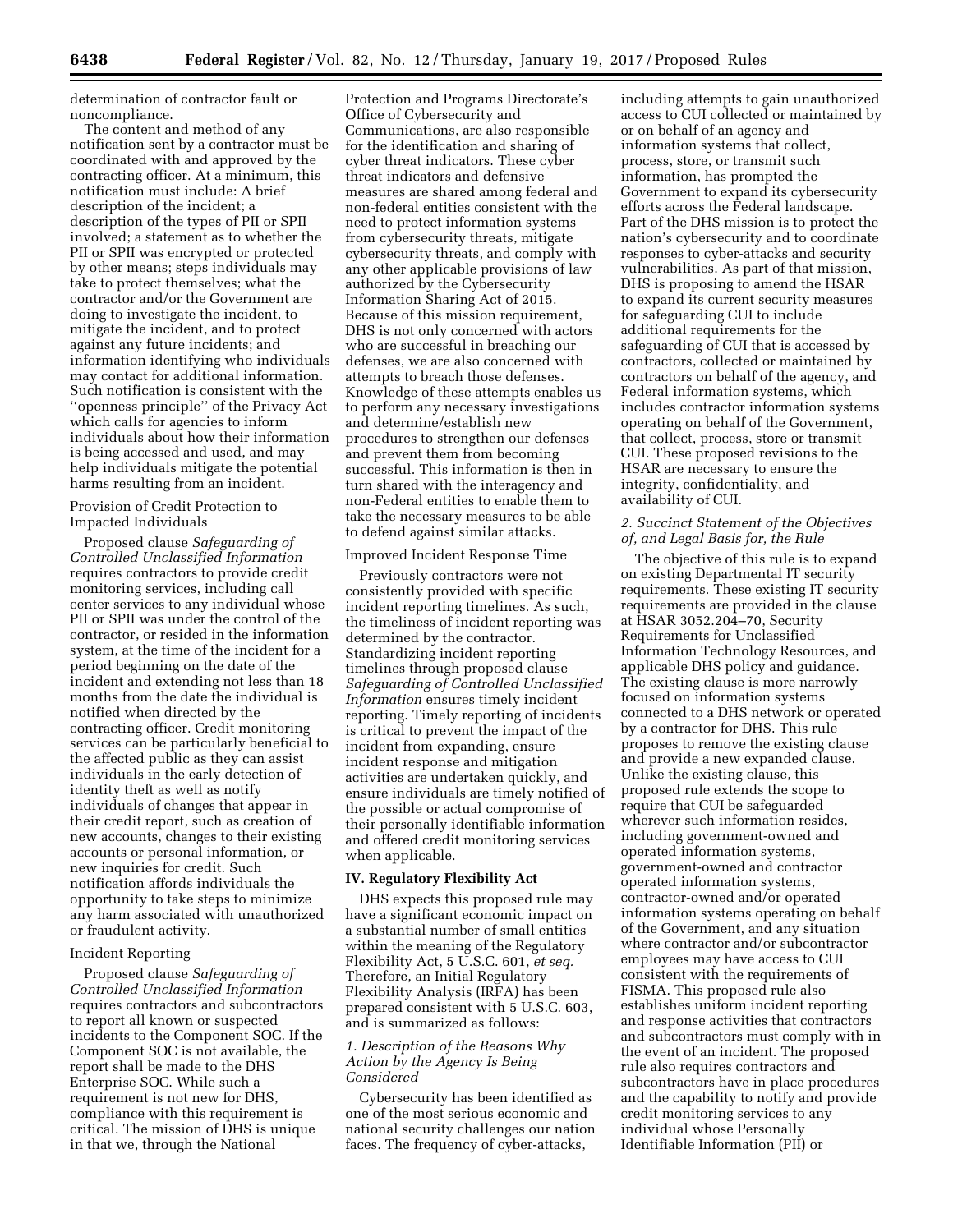determination of contractor fault or noncompliance.

The content and method of any notification sent by a contractor must be coordinated with and approved by the contracting officer. At a minimum, this notification must include: A brief description of the incident; a description of the types of PII or SPII involved; a statement as to whether the PII or SPII was encrypted or protected by other means; steps individuals may take to protect themselves; what the contractor and/or the Government are doing to investigate the incident, to mitigate the incident, and to protect against any future incidents; and information identifying who individuals may contact for additional information. Such notification is consistent with the ''openness principle'' of the Privacy Act which calls for agencies to inform individuals about how their information is being accessed and used, and may help individuals mitigate the potential harms resulting from an incident.

## Provision of Credit Protection to Impacted Individuals

Proposed clause *Safeguarding of Controlled Unclassified Information*  requires contractors to provide credit monitoring services, including call center services to any individual whose PII or SPII was under the control of the contractor, or resided in the information system, at the time of the incident for a period beginning on the date of the incident and extending not less than 18 months from the date the individual is notified when directed by the contracting officer. Credit monitoring services can be particularly beneficial to the affected public as they can assist individuals in the early detection of identity theft as well as notify individuals of changes that appear in their credit report, such as creation of new accounts, changes to their existing accounts or personal information, or new inquiries for credit. Such notification affords individuals the opportunity to take steps to minimize any harm associated with unauthorized or fraudulent activity.

### Incident Reporting

Proposed clause *Safeguarding of Controlled Unclassified Information*  requires contractors and subcontractors to report all known or suspected incidents to the Component SOC. If the Component SOC is not available, the report shall be made to the DHS Enterprise SOC. While such a requirement is not new for DHS, compliance with this requirement is critical. The mission of DHS is unique in that we, through the National

Protection and Programs Directorate's Office of Cybersecurity and Communications, are also responsible for the identification and sharing of cyber threat indicators. These cyber threat indicators and defensive measures are shared among federal and non-federal entities consistent with the need to protect information systems from cybersecurity threats, mitigate cybersecurity threats, and comply with any other applicable provisions of law authorized by the Cybersecurity Information Sharing Act of 2015. Because of this mission requirement, DHS is not only concerned with actors who are successful in breaching our defenses, we are also concerned with attempts to breach those defenses. Knowledge of these attempts enables us to perform any necessary investigations and determine/establish new procedures to strengthen our defenses and prevent them from becoming successful. This information is then in turn shared with the interagency and non-Federal entities to enable them to take the necessary measures to be able to defend against similar attacks.

#### Improved Incident Response Time

Previously contractors were not consistently provided with specific incident reporting timelines. As such, the timeliness of incident reporting was determined by the contractor. Standardizing incident reporting timelines through proposed clause *Safeguarding of Controlled Unclassified Information* ensures timely incident reporting. Timely reporting of incidents is critical to prevent the impact of the incident from expanding, ensure incident response and mitigation activities are undertaken quickly, and ensure individuals are timely notified of the possible or actual compromise of their personally identifiable information and offered credit monitoring services when applicable.

# **IV. Regulatory Flexibility Act**

DHS expects this proposed rule may have a significant economic impact on a substantial number of small entities within the meaning of the Regulatory Flexibility Act, 5 U.S.C. 601, *et seq.*  Therefore, an Initial Regulatory Flexibility Analysis (IRFA) has been prepared consistent with 5 U.S.C. 603, and is summarized as follows:

## *1. Description of the Reasons Why Action by the Agency Is Being Considered*

Cybersecurity has been identified as one of the most serious economic and national security challenges our nation faces. The frequency of cyber-attacks,

including attempts to gain unauthorized access to CUI collected or maintained by or on behalf of an agency and information systems that collect, process, store, or transmit such information, has prompted the Government to expand its cybersecurity efforts across the Federal landscape. Part of the DHS mission is to protect the nation's cybersecurity and to coordinate responses to cyber-attacks and security vulnerabilities. As part of that mission, DHS is proposing to amend the HSAR to expand its current security measures for safeguarding CUI to include additional requirements for the safeguarding of CUI that is accessed by contractors, collected or maintained by contractors on behalf of the agency, and Federal information systems, which includes contractor information systems operating on behalf of the Government, that collect, process, store or transmit CUI. These proposed revisions to the HSAR are necessary to ensure the integrity, confidentiality, and availability of CUI.

### *2. Succinct Statement of the Objectives of, and Legal Basis for, the Rule*

The objective of this rule is to expand on existing Departmental IT security requirements. These existing IT security requirements are provided in the clause at HSAR 3052.204–70, Security Requirements for Unclassified Information Technology Resources, and applicable DHS policy and guidance. The existing clause is more narrowly focused on information systems connected to a DHS network or operated by a contractor for DHS. This rule proposes to remove the existing clause and provide a new expanded clause. Unlike the existing clause, this proposed rule extends the scope to require that CUI be safeguarded wherever such information resides, including government-owned and operated information systems, government-owned and contractor operated information systems, contractor-owned and/or operated information systems operating on behalf of the Government, and any situation where contractor and/or subcontractor employees may have access to CUI consistent with the requirements of FISMA. This proposed rule also establishes uniform incident reporting and response activities that contractors and subcontractors must comply with in the event of an incident. The proposed rule also requires contractors and subcontractors have in place procedures and the capability to notify and provide credit monitoring services to any individual whose Personally Identifiable Information (PII) or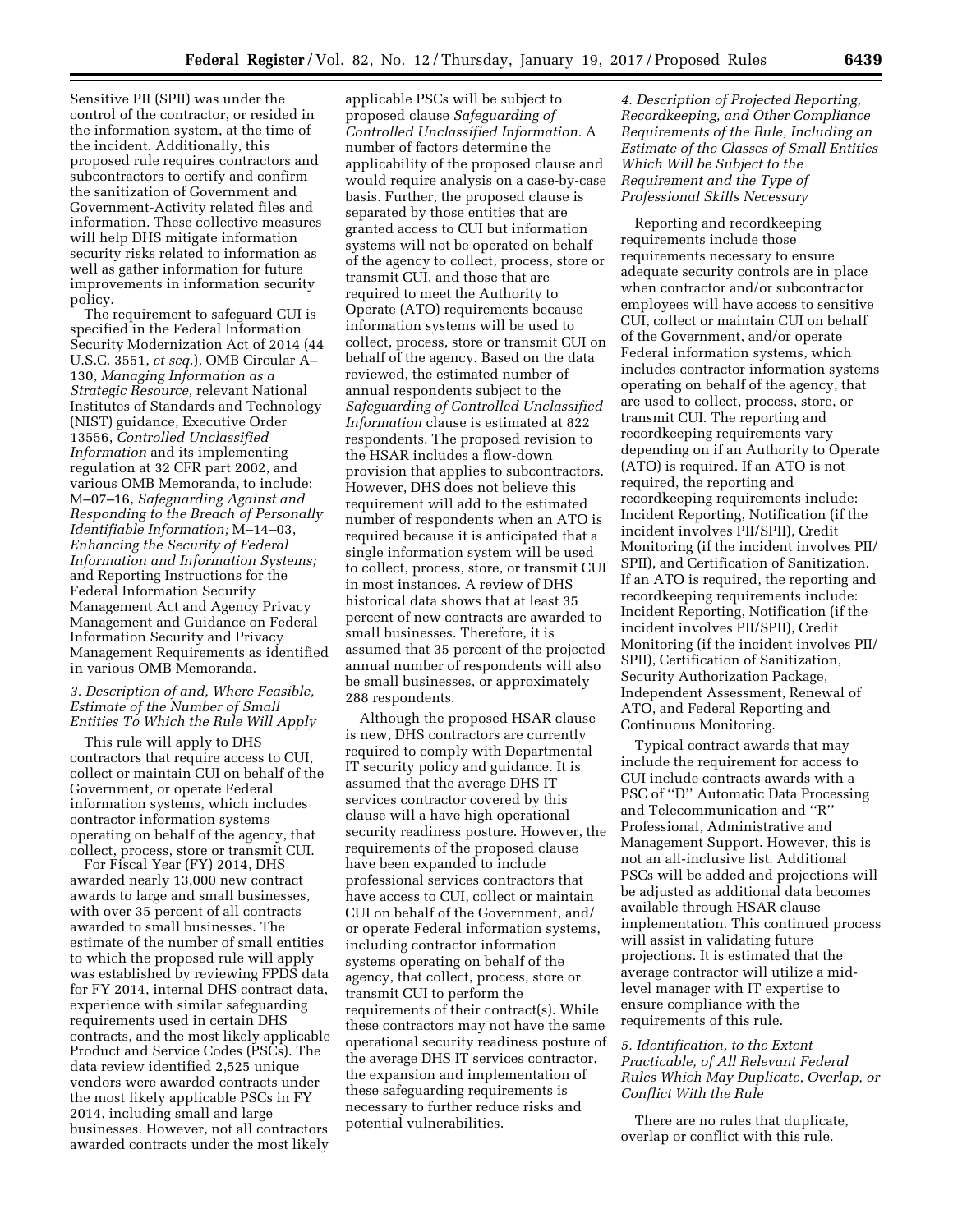Sensitive PII (SPII) was under the control of the contractor, or resided in the information system, at the time of the incident. Additionally, this proposed rule requires contractors and subcontractors to certify and confirm the sanitization of Government and Government-Activity related files and information. These collective measures will help DHS mitigate information security risks related to information as well as gather information for future improvements in information security policy.

The requirement to safeguard CUI is specified in the Federal Information Security Modernization Act of 2014 (44 U.S.C. 3551, *et seq.*), OMB Circular A– 130, *Managing Information as a Strategic Resource,* relevant National Institutes of Standards and Technology (NIST) guidance, Executive Order 13556, *Controlled Unclassified Information* and its implementing regulation at 32 CFR part 2002, and various OMB Memoranda, to include: M–07–16, *Safeguarding Against and Responding to the Breach of Personally Identifiable Information;* M–14–03, *Enhancing the Security of Federal Information and Information Systems;*  and Reporting Instructions for the Federal Information Security Management Act and Agency Privacy Management and Guidance on Federal Information Security and Privacy Management Requirements as identified in various OMB Memoranda.

### *3. Description of and, Where Feasible, Estimate of the Number of Small Entities To Which the Rule Will Apply*

This rule will apply to DHS contractors that require access to CUI, collect or maintain CUI on behalf of the Government, or operate Federal information systems, which includes contractor information systems operating on behalf of the agency, that collect, process, store or transmit CUI.

For Fiscal Year (FY) 2014, DHS awarded nearly 13,000 new contract awards to large and small businesses, with over 35 percent of all contracts awarded to small businesses. The estimate of the number of small entities to which the proposed rule will apply was established by reviewing FPDS data for FY 2014, internal DHS contract data, experience with similar safeguarding requirements used in certain DHS contracts, and the most likely applicable Product and Service Codes (PSCs). The data review identified 2,525 unique vendors were awarded contracts under the most likely applicable PSCs in FY 2014, including small and large businesses. However, not all contractors awarded contracts under the most likely

applicable PSCs will be subject to proposed clause *Safeguarding of Controlled Unclassified Information.* A number of factors determine the applicability of the proposed clause and would require analysis on a case-by-case basis. Further, the proposed clause is separated by those entities that are granted access to CUI but information systems will not be operated on behalf of the agency to collect, process, store or transmit CUI, and those that are required to meet the Authority to Operate (ATO) requirements because information systems will be used to collect, process, store or transmit CUI on behalf of the agency. Based on the data reviewed, the estimated number of annual respondents subject to the *Safeguarding of Controlled Unclassified Information* clause is estimated at 822 respondents. The proposed revision to the HSAR includes a flow-down provision that applies to subcontractors. However, DHS does not believe this requirement will add to the estimated number of respondents when an ATO is required because it is anticipated that a single information system will be used to collect, process, store, or transmit CUI in most instances. A review of DHS historical data shows that at least 35 percent of new contracts are awarded to small businesses. Therefore, it is assumed that 35 percent of the projected annual number of respondents will also be small businesses, or approximately 288 respondents.

Although the proposed HSAR clause is new, DHS contractors are currently required to comply with Departmental IT security policy and guidance. It is assumed that the average DHS IT services contractor covered by this clause will a have high operational security readiness posture. However, the requirements of the proposed clause have been expanded to include professional services contractors that have access to CUI, collect or maintain CUI on behalf of the Government, and/ or operate Federal information systems, including contractor information systems operating on behalf of the agency, that collect, process, store or transmit CUI to perform the requirements of their contract(s). While these contractors may not have the same operational security readiness posture of the average DHS IT services contractor, the expansion and implementation of these safeguarding requirements is necessary to further reduce risks and potential vulnerabilities.

*4. Description of Projected Reporting, Recordkeeping, and Other Compliance Requirements of the Rule, Including an Estimate of the Classes of Small Entities Which Will be Subject to the Requirement and the Type of Professional Skills Necessary* 

Reporting and recordkeeping requirements include those requirements necessary to ensure adequate security controls are in place when contractor and/or subcontractor employees will have access to sensitive CUI, collect or maintain CUI on behalf of the Government, and/or operate Federal information systems, which includes contractor information systems operating on behalf of the agency, that are used to collect, process, store, or transmit CUI. The reporting and recordkeeping requirements vary depending on if an Authority to Operate (ATO) is required. If an ATO is not required, the reporting and recordkeeping requirements include: Incident Reporting, Notification (if the incident involves PII/SPII), Credit Monitoring (if the incident involves PII/ SPII), and Certification of Sanitization. If an ATO is required, the reporting and recordkeeping requirements include: Incident Reporting, Notification (if the incident involves PII/SPII), Credit Monitoring (if the incident involves PII/ SPII), Certification of Sanitization, Security Authorization Package, Independent Assessment, Renewal of ATO, and Federal Reporting and Continuous Monitoring.

Typical contract awards that may include the requirement for access to CUI include contracts awards with a PSC of ''D'' Automatic Data Processing and Telecommunication and ''R'' Professional, Administrative and Management Support. However, this is not an all-inclusive list. Additional PSCs will be added and projections will be adjusted as additional data becomes available through HSAR clause implementation. This continued process will assist in validating future projections. It is estimated that the average contractor will utilize a midlevel manager with IT expertise to ensure compliance with the requirements of this rule.

# *5. Identification, to the Extent Practicable, of All Relevant Federal Rules Which May Duplicate, Overlap, or Conflict With the Rule*

There are no rules that duplicate, overlap or conflict with this rule.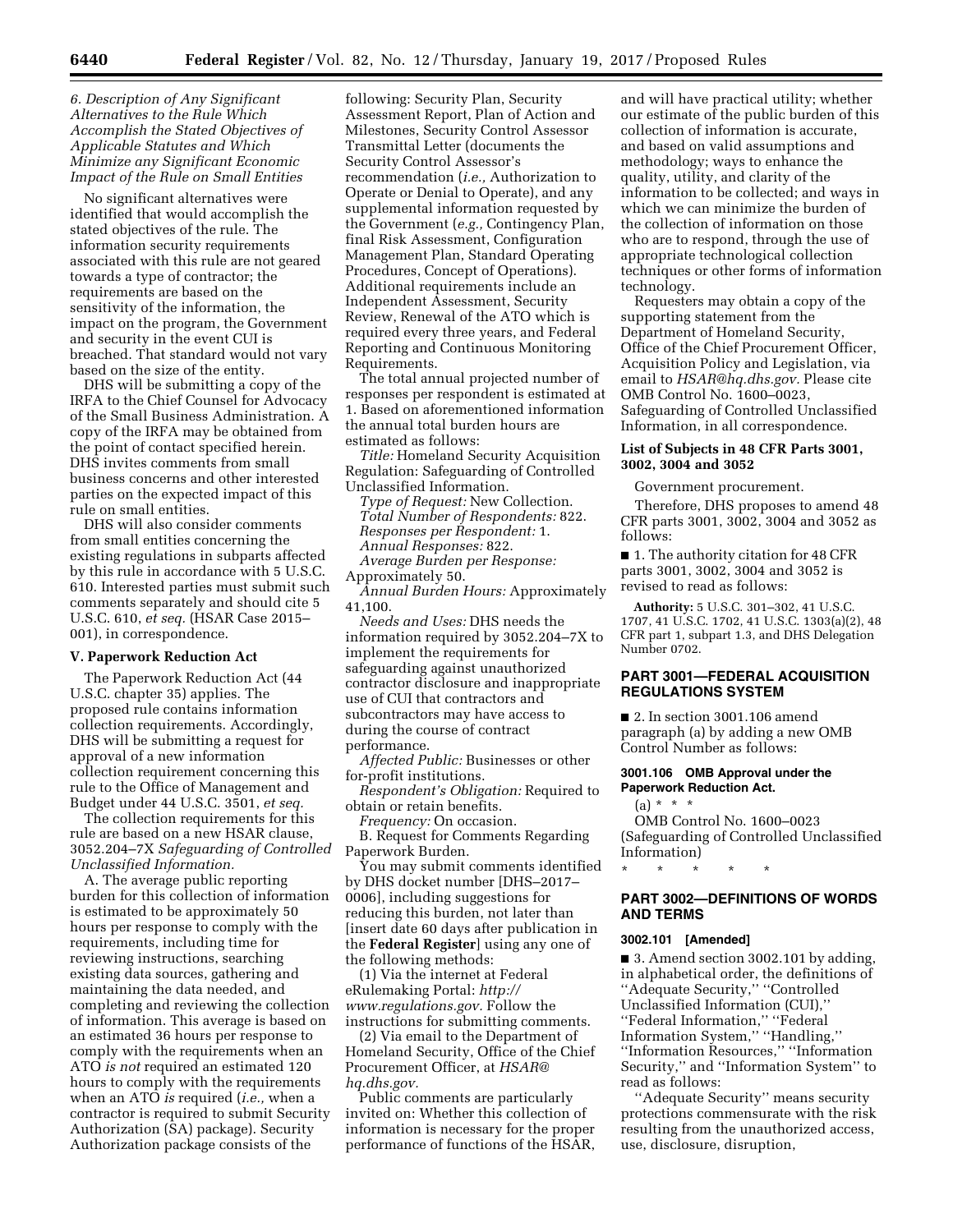## *6. Description of Any Significant Alternatives to the Rule Which Accomplish the Stated Objectives of Applicable Statutes and Which Minimize any Significant Economic Impact of the Rule on Small Entities*

No significant alternatives were identified that would accomplish the stated objectives of the rule. The information security requirements associated with this rule are not geared towards a type of contractor; the requirements are based on the sensitivity of the information, the impact on the program, the Government and security in the event CUI is breached. That standard would not vary based on the size of the entity.

DHS will be submitting a copy of the IRFA to the Chief Counsel for Advocacy of the Small Business Administration. A copy of the IRFA may be obtained from the point of contact specified herein. DHS invites comments from small business concerns and other interested parties on the expected impact of this rule on small entities.

DHS will also consider comments from small entities concerning the existing regulations in subparts affected by this rule in accordance with 5 U.S.C. 610. Interested parties must submit such comments separately and should cite 5 U.S.C. 610, *et seq.* (HSAR Case 2015– 001), in correspondence.

#### **V. Paperwork Reduction Act**

The Paperwork Reduction Act (44 U.S.C. chapter 35) applies. The proposed rule contains information collection requirements. Accordingly, DHS will be submitting a request for approval of a new information collection requirement concerning this rule to the Office of Management and Budget under 44 U.S.C. 3501, *et seq.* 

The collection requirements for this rule are based on a new HSAR clause, 3052.204–7X *Safeguarding of Controlled Unclassified Information.* 

A. The average public reporting burden for this collection of information is estimated to be approximately 50 hours per response to comply with the requirements, including time for reviewing instructions, searching existing data sources, gathering and maintaining the data needed, and completing and reviewing the collection of information. This average is based on an estimated 36 hours per response to comply with the requirements when an ATO *is not* required an estimated 120 hours to comply with the requirements when an ATO *is* required (*i.e.,* when a contractor is required to submit Security Authorization (SA) package). Security Authorization package consists of the

following: Security Plan, Security Assessment Report, Plan of Action and Milestones, Security Control Assessor Transmittal Letter (documents the Security Control Assessor's recommendation (*i.e.,* Authorization to Operate or Denial to Operate), and any supplemental information requested by the Government (*e.g.,* Contingency Plan, final Risk Assessment, Configuration Management Plan, Standard Operating Procedures, Concept of Operations). Additional requirements include an Independent Assessment, Security Review, Renewal of the ATO which is required every three years, and Federal Reporting and Continuous Monitoring Requirements.

The total annual projected number of responses per respondent is estimated at 1. Based on aforementioned information the annual total burden hours are estimated as follows:

*Title:* Homeland Security Acquisition Regulation: Safeguarding of Controlled Unclassified Information.

*Type of Request:* New Collection. *Total Number of Respondents:* 822. *Responses per Respondent:* 1. *Annual Responses:* 822. *Average Burden per Response:*  Approximately 50.

*Annual Burden Hours:* Approximately 41,100.

*Needs and Uses:* DHS needs the information required by 3052.204–7X to implement the requirements for safeguarding against unauthorized contractor disclosure and inappropriate use of CUI that contractors and subcontractors may have access to during the course of contract performance.

*Affected Public:* Businesses or other for-profit institutions.

*Respondent's Obligation:* Required to obtain or retain benefits.

*Frequency:* On occasion.

B. Request for Comments Regarding Paperwork Burden.

You may submit comments identified by DHS docket number [DHS–2017– 0006], including suggestions for reducing this burden, not later than [insert date 60 days after publication in the **Federal Register**] using any one of the following methods:

(1) Via the internet at Federal eRulemaking Portal: *[http://](http://www.regulations.gov) [www.regulations.gov.](http://www.regulations.gov)* Follow the instructions for submitting comments.

(2) Via email to the Department of Homeland Security, Office of the Chief Procurement Officer, at *[HSAR@](mailto:HSAR@hq.dhs.gov) [hq.dhs.gov.](mailto:HSAR@hq.dhs.gov)* 

Public comments are particularly invited on: Whether this collection of information is necessary for the proper performance of functions of the HSAR,

and will have practical utility; whether our estimate of the public burden of this collection of information is accurate, and based on valid assumptions and methodology; ways to enhance the quality, utility, and clarity of the information to be collected; and ways in which we can minimize the burden of the collection of information on those who are to respond, through the use of appropriate technological collection techniques or other forms of information technology.

Requesters may obtain a copy of the supporting statement from the Department of Homeland Security, Office of the Chief Procurement Officer, Acquisition Policy and Legislation, via email to *[HSAR@hq.dhs.gov.](mailto:HSAR@hq.dhs.gov)* Please cite OMB Control No. 1600–0023, Safeguarding of Controlled Unclassified Information, in all correspondence.

### **List of Subjects in 48 CFR Parts 3001, 3002, 3004 and 3052**

Government procurement.

Therefore, DHS proposes to amend 48 CFR parts 3001, 3002, 3004 and 3052 as follows:

■ 1. The authority citation for 48 CFR parts 3001, 3002, 3004 and 3052 is revised to read as follows:

**Authority:** 5 U.S.C. 301–302, 41 U.S.C. 1707, 41 U.S.C. 1702, 41 U.S.C. 1303(a)(2), 48 CFR part 1, subpart 1.3, and DHS Delegation Number 0702.

### **PART 3001—FEDERAL ACQUISITION REGULATIONS SYSTEM**

■ 2. In section 3001.106 amend paragraph (a) by adding a new OMB Control Number as follows:

#### **3001.106 OMB Approval under the Paperwork Reduction Act.**

 $(a) * * * *$ 

OMB Control No. 1600–0023 (Safeguarding of Controlled Unclassified Information)

\* \* \* \* \*

## **PART 3002—DEFINITIONS OF WORDS AND TERMS**

### **3002.101 [Amended]**

■ 3. Amend section 3002.101 by adding, in alphabetical order, the definitions of ''Adequate Security,'' ''Controlled Unclassified Information (CUI),'' ''Federal Information,'' ''Federal Information System,'' ''Handling,'' ''Information Resources,'' ''Information Security,'' and ''Information System'' to read as follows:

''Adequate Security'' means security protections commensurate with the risk resulting from the unauthorized access, use, disclosure, disruption,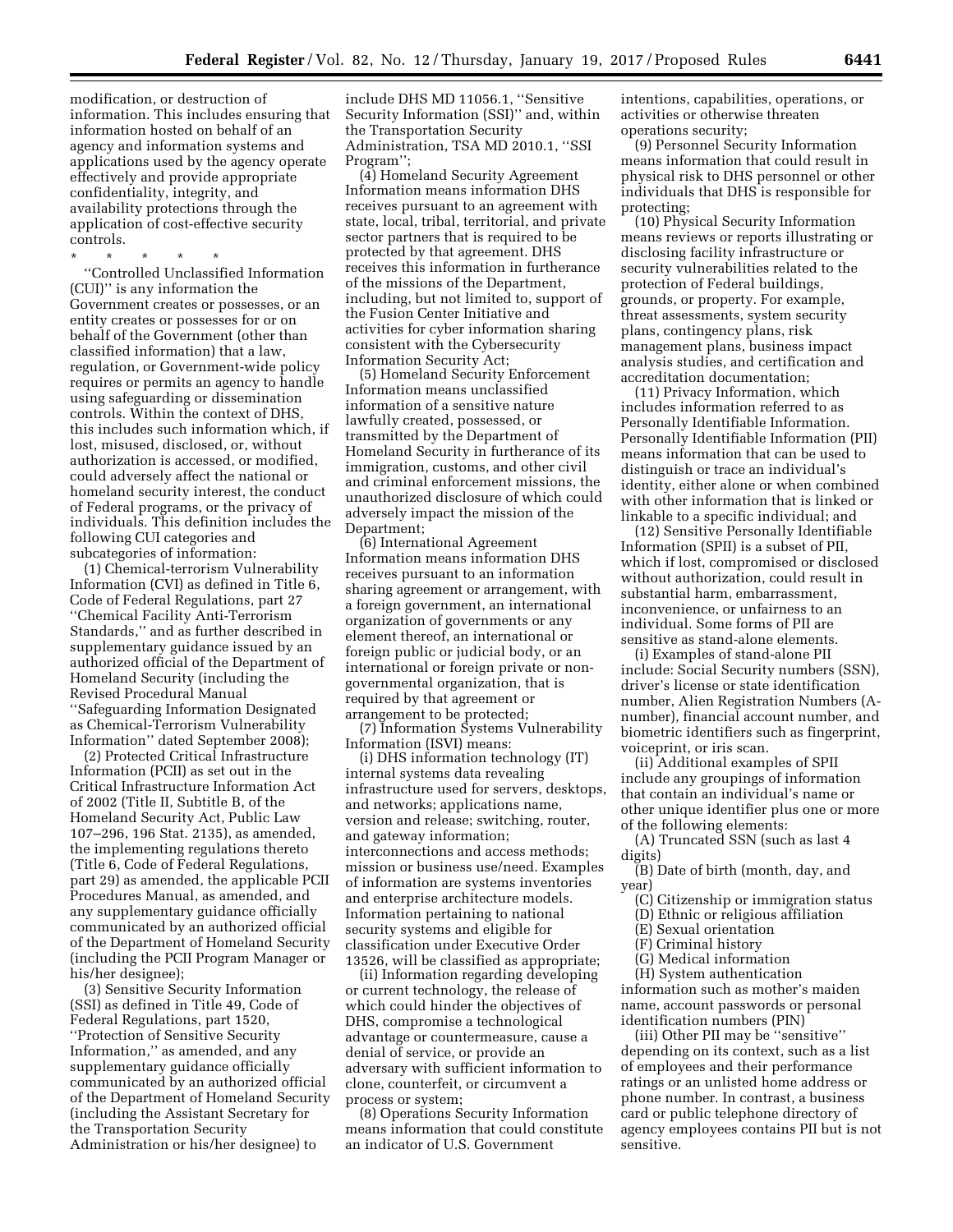modification, or destruction of information. This includes ensuring that information hosted on behalf of an agency and information systems and applications used by the agency operate effectively and provide appropriate confidentiality, integrity, and availability protections through the application of cost-effective security controls.

\* \* \* \* \* ''Controlled Unclassified Information (CUI)'' is any information the Government creates or possesses, or an entity creates or possesses for or on behalf of the Government (other than classified information) that a law, regulation, or Government-wide policy requires or permits an agency to handle using safeguarding or dissemination controls. Within the context of DHS, this includes such information which, if lost, misused, disclosed, or, without authorization is accessed, or modified, could adversely affect the national or homeland security interest, the conduct of Federal programs, or the privacy of individuals. This definition includes the following CUI categories and subcategories of information:

(1) Chemical-terrorism Vulnerability Information (CVI) as defined in Title 6, Code of Federal Regulations, part 27 ''Chemical Facility Anti-Terrorism Standards,'' and as further described in supplementary guidance issued by an authorized official of the Department of Homeland Security (including the Revised Procedural Manual ''Safeguarding Information Designated as Chemical-Terrorism Vulnerability Information'' dated September 2008);

(2) Protected Critical Infrastructure Information (PCII) as set out in the Critical Infrastructure Information Act of 2002 (Title II, Subtitle B, of the Homeland Security Act, Public Law 107–296, 196 Stat. 2135), as amended, the implementing regulations thereto (Title 6, Code of Federal Regulations, part 29) as amended, the applicable PCII Procedures Manual, as amended, and any supplementary guidance officially communicated by an authorized official of the Department of Homeland Security (including the PCII Program Manager or his/her designee);

(3) Sensitive Security Information (SSI) as defined in Title 49, Code of Federal Regulations, part 1520, ''Protection of Sensitive Security Information,'' as amended, and any supplementary guidance officially communicated by an authorized official of the Department of Homeland Security (including the Assistant Secretary for the Transportation Security Administration or his/her designee) to

include DHS MD 11056.1, ''Sensitive Security Information (SSI)'' and, within the Transportation Security Administration, TSA MD 2010.1, ''SSI Program'';

(4) Homeland Security Agreement Information means information DHS receives pursuant to an agreement with state, local, tribal, territorial, and private sector partners that is required to be protected by that agreement. DHS receives this information in furtherance of the missions of the Department, including, but not limited to, support of the Fusion Center Initiative and activities for cyber information sharing consistent with the Cybersecurity Information Security Act;

(5) Homeland Security Enforcement Information means unclassified information of a sensitive nature lawfully created, possessed, or transmitted by the Department of Homeland Security in furtherance of its immigration, customs, and other civil and criminal enforcement missions, the unauthorized disclosure of which could adversely impact the mission of the Department;

(6) International Agreement Information means information DHS receives pursuant to an information sharing agreement or arrangement, with a foreign government, an international organization of governments or any element thereof, an international or foreign public or judicial body, or an international or foreign private or nongovernmental organization, that is required by that agreement or arrangement to be protected;

(7) Information Systems Vulnerability Information (ISVI) means:

(i) DHS information technology (IT) internal systems data revealing infrastructure used for servers, desktops, and networks; applications name, version and release; switching, router, and gateway information; interconnections and access methods; mission or business use/need. Examples of information are systems inventories and enterprise architecture models. Information pertaining to national security systems and eligible for classification under Executive Order 13526, will be classified as appropriate;

(ii) Information regarding developing or current technology, the release of which could hinder the objectives of DHS, compromise a technological advantage or countermeasure, cause a denial of service, or provide an adversary with sufficient information to clone, counterfeit, or circumvent a process or system;

(8) Operations Security Information means information that could constitute an indicator of U.S. Government

intentions, capabilities, operations, or activities or otherwise threaten operations security;

(9) Personnel Security Information means information that could result in physical risk to DHS personnel or other individuals that DHS is responsible for protecting;

(10) Physical Security Information means reviews or reports illustrating or disclosing facility infrastructure or security vulnerabilities related to the protection of Federal buildings, grounds, or property. For example, threat assessments, system security plans, contingency plans, risk management plans, business impact analysis studies, and certification and accreditation documentation;

(11) Privacy Information, which includes information referred to as Personally Identifiable Information. Personally Identifiable Information (PII) means information that can be used to distinguish or trace an individual's identity, either alone or when combined with other information that is linked or linkable to a specific individual; and

(12) Sensitive Personally Identifiable Information (SPII) is a subset of PII, which if lost, compromised or disclosed without authorization, could result in substantial harm, embarrassment, inconvenience, or unfairness to an individual. Some forms of PII are sensitive as stand-alone elements.

(i) Examples of stand-alone PII include: Social Security numbers (SSN), driver's license or state identification number, Alien Registration Numbers (Anumber), financial account number, and biometric identifiers such as fingerprint, voiceprint, or iris scan.

(ii) Additional examples of SPII include any groupings of information that contain an individual's name or other unique identifier plus one or more of the following elements:

(A) Truncated SSN (such as last 4 digits)

(B) Date of birth (month, day, and year)

- (C) Citizenship or immigration status
- (D) Ethnic or religious affiliation
- (E) Sexual orientation
- (F) Criminal history
- (G) Medical information

(H) System authentication information such as mother's maiden name, account passwords or personal identification numbers (PIN)

(iii) Other PII may be ''sensitive'' depending on its context, such as a list of employees and their performance ratings or an unlisted home address or phone number. In contrast, a business card or public telephone directory of agency employees contains PII but is not sensitive.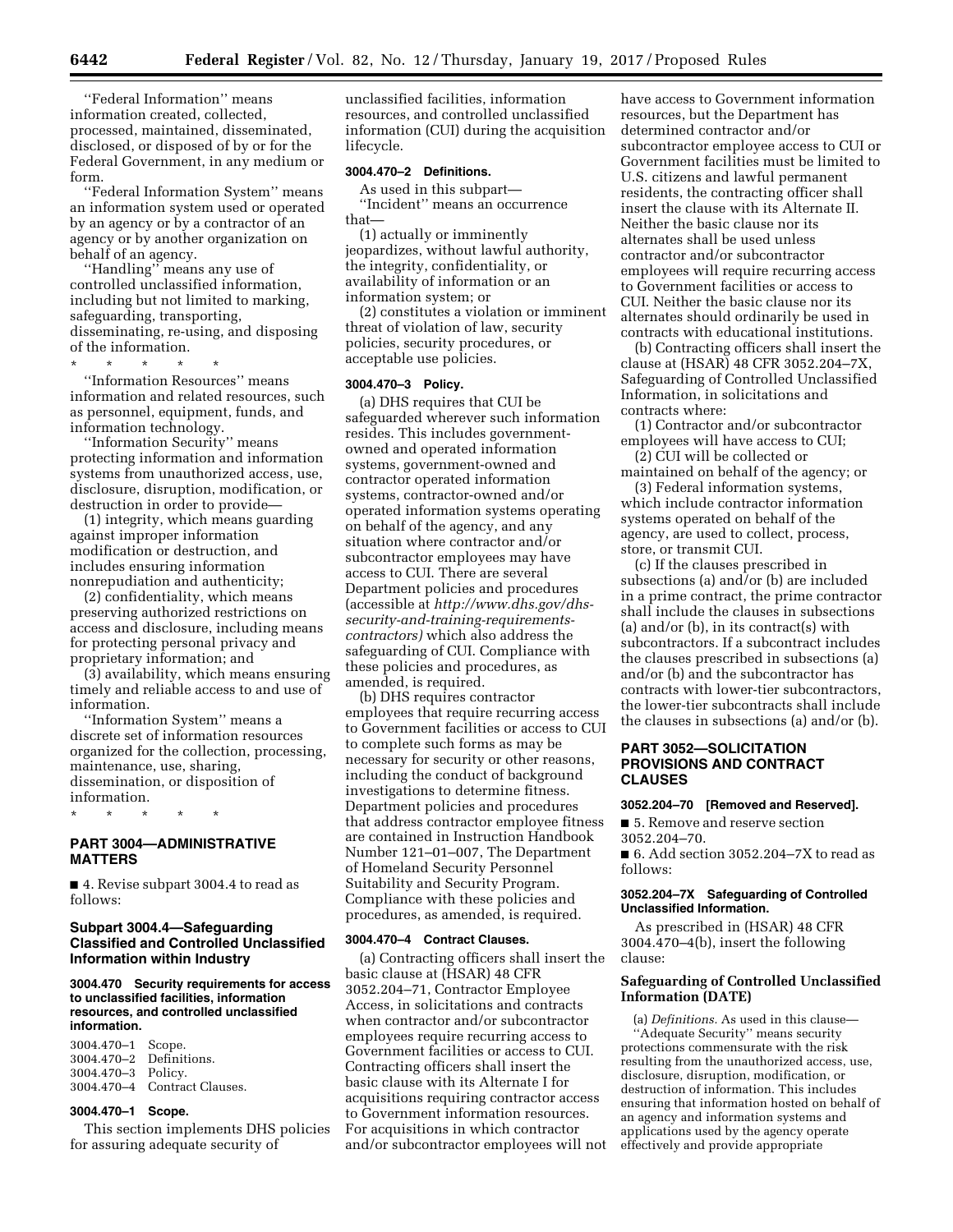''Federal Information'' means information created, collected, processed, maintained, disseminated, disclosed, or disposed of by or for the Federal Government, in any medium or form.

''Federal Information System'' means an information system used or operated by an agency or by a contractor of an agency or by another organization on behalf of an agency.

''Handling'' means any use of controlled unclassified information, including but not limited to marking, safeguarding, transporting, disseminating, re-using, and disposing of the information.

\* \* \* \* \* ''Information Resources'' means information and related resources, such as personnel, equipment, funds, and information technology.

''Information Security'' means protecting information and information systems from unauthorized access, use, disclosure, disruption, modification, or destruction in order to provide—

(1) integrity, which means guarding against improper information modification or destruction, and includes ensuring information nonrepudiation and authenticity;

(2) confidentiality, which means preserving authorized restrictions on access and disclosure, including means for protecting personal privacy and proprietary information; and

(3) availability, which means ensuring timely and reliable access to and use of information.

''Information System'' means a discrete set of information resources organized for the collection, processing, maintenance, use, sharing, dissemination, or disposition of information.

**PART 3004—ADMINISTRATIVE MATTERS** 

\* \* \* \* \*

■ 4. Revise subpart 3004.4 to read as follows:

## **Subpart 3004.4—Safeguarding Classified and Controlled Unclassified Information within Industry**

### **3004.470 Security requirements for access to unclassified facilities, information resources, and controlled unclassified information.**

3004.470–1 Scope. Definitions. 3004.470–3 Policy. 3004.470–4 Contract Clauses.

### **3004.470–1 Scope.**

This section implements DHS policies for assuring adequate security of

unclassified facilities, information resources, and controlled unclassified information (CUI) during the acquisition lifecycle.

### **3004.470–2 Definitions.**

As used in this subpart— ''Incident'' means an occurrence that—

(1) actually or imminently jeopardizes, without lawful authority, the integrity, confidentiality, or availability of information or an information system; or

(2) constitutes a violation or imminent threat of violation of law, security policies, security procedures, or acceptable use policies.

#### **3004.470–3 Policy.**

(a) DHS requires that CUI be safeguarded wherever such information resides. This includes governmentowned and operated information systems, government-owned and contractor operated information systems, contractor-owned and/or operated information systems operating on behalf of the agency, and any situation where contractor and/or subcontractor employees may have access to CUI. There are several Department policies and procedures (accessible at *[http://www.dhs.gov/dhs](http://www.dhs.gov/dhs-security-and-training-requirements-contractors)[security-and-training-requirements](http://www.dhs.gov/dhs-security-and-training-requirements-contractors)[contractors\)](http://www.dhs.gov/dhs-security-and-training-requirements-contractors)* which also address the safeguarding of CUI. Compliance with these policies and procedures, as amended, is required.

(b) DHS requires contractor employees that require recurring access to Government facilities or access to CUI to complete such forms as may be necessary for security or other reasons, including the conduct of background investigations to determine fitness. Department policies and procedures that address contractor employee fitness are contained in Instruction Handbook Number 121–01–007, The Department of Homeland Security Personnel Suitability and Security Program. Compliance with these policies and procedures, as amended, is required.

#### **3004.470–4 Contract Clauses.**

(a) Contracting officers shall insert the basic clause at (HSAR) 48 CFR 3052.204–71, Contractor Employee Access, in solicitations and contracts when contractor and/or subcontractor employees require recurring access to Government facilities or access to CUI. Contracting officers shall insert the basic clause with its Alternate I for acquisitions requiring contractor access to Government information resources. For acquisitions in which contractor and/or subcontractor employees will not have access to Government information resources, but the Department has determined contractor and/or subcontractor employee access to CUI or Government facilities must be limited to U.S. citizens and lawful permanent residents, the contracting officer shall insert the clause with its Alternate II. Neither the basic clause nor its alternates shall be used unless contractor and/or subcontractor employees will require recurring access to Government facilities or access to CUI. Neither the basic clause nor its alternates should ordinarily be used in contracts with educational institutions.

(b) Contracting officers shall insert the clause at (HSAR) 48 CFR 3052.204–7X, Safeguarding of Controlled Unclassified Information, in solicitations and contracts where:

(1) Contractor and/or subcontractor employees will have access to CUI;

(2) CUI will be collected or maintained on behalf of the agency; or

(3) Federal information systems, which include contractor information systems operated on behalf of the agency, are used to collect, process, store, or transmit CUI.

(c) If the clauses prescribed in subsections (a) and/or (b) are included in a prime contract, the prime contractor shall include the clauses in subsections (a) and/or (b), in its contract(s) with subcontractors. If a subcontract includes the clauses prescribed in subsections (a) and/or (b) and the subcontractor has contracts with lower-tier subcontractors, the lower-tier subcontracts shall include the clauses in subsections (a) and/or (b).

## **PART 3052—SOLICITATION PROVISIONS AND CONTRACT CLAUSES**

#### **3052.204–70 [Removed and Reserved].**

■ 5. Remove and reserve section 3052.204–70.

 $\blacksquare$  6. Add section 3052.204-7X to read as follows:

#### **3052.204–7X Safeguarding of Controlled Unclassified Information.**

As prescribed in (HSAR) 48 CFR 3004.470–4(b), insert the following clause:

### **Safeguarding of Controlled Unclassified Information (DATE)**

(a) *Definitions.* As used in this clause— ''Adequate Security'' means security protections commensurate with the risk resulting from the unauthorized access, use, disclosure, disruption, modification, or destruction of information. This includes ensuring that information hosted on behalf of an agency and information systems and applications used by the agency operate effectively and provide appropriate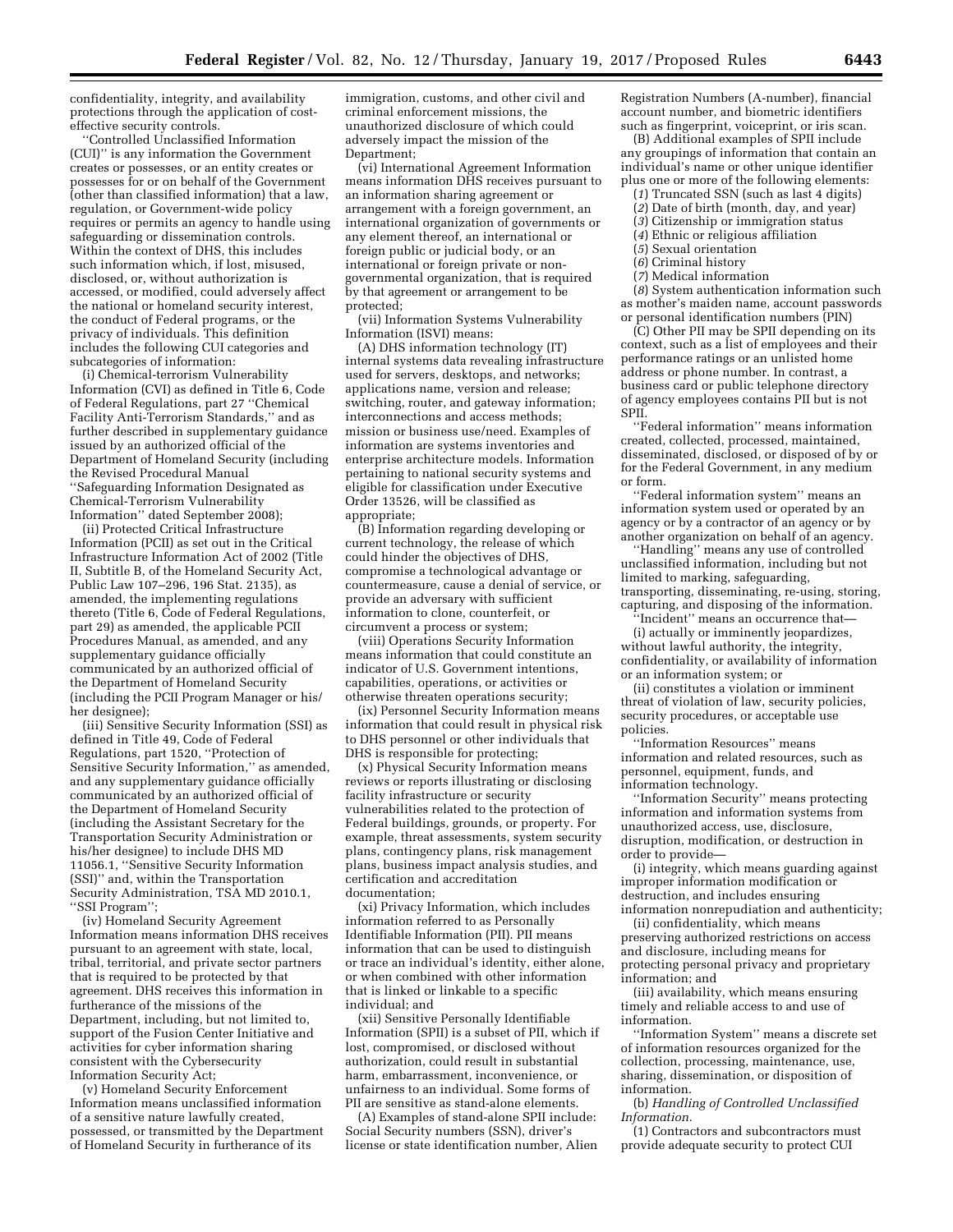confidentiality, integrity, and availability protections through the application of costeffective security controls.

'Controlled Unclassified Information (CUI)'' is any information the Government creates or possesses, or an entity creates or possesses for or on behalf of the Government (other than classified information) that a law, regulation, or Government-wide policy requires or permits an agency to handle using safeguarding or dissemination controls. Within the context of DHS, this includes such information which, if lost, misused, disclosed, or, without authorization is accessed, or modified, could adversely affect the national or homeland security interest, the conduct of Federal programs, or the privacy of individuals. This definition includes the following CUI categories and subcategories of information:

(i) Chemical-terrorism Vulnerability Information (CVI) as defined in Title 6, Code of Federal Regulations, part 27 ''Chemical Facility Anti-Terrorism Standards,'' and as further described in supplementary guidance issued by an authorized official of the Department of Homeland Security (including the Revised Procedural Manual ''Safeguarding Information Designated as Chemical-Terrorism Vulnerability Information'' dated September 2008);

(ii) Protected Critical Infrastructure Information (PCII) as set out in the Critical Infrastructure Information Act of 2002 (Title II, Subtitle B, of the Homeland Security Act, Public Law 107–296, 196 Stat. 2135), as amended, the implementing regulations thereto (Title 6, Code of Federal Regulations, part 29) as amended, the applicable PCII Procedures Manual, as amended, and any supplementary guidance officially communicated by an authorized official of the Department of Homeland Security (including the PCII Program Manager or his/ her designee);

(iii) Sensitive Security Information (SSI) as defined in Title 49, Code of Federal Regulations, part 1520, ''Protection of Sensitive Security Information,'' as amended, and any supplementary guidance officially communicated by an authorized official of the Department of Homeland Security (including the Assistant Secretary for the Transportation Security Administration or his/her designee) to include DHS MD 11056.1, ''Sensitive Security Information (SSI)'' and, within the Transportation Security Administration, TSA MD 2010.1, ''SSI Program'';

(iv) Homeland Security Agreement Information means information DHS receives pursuant to an agreement with state, local, tribal, territorial, and private sector partners that is required to be protected by that agreement. DHS receives this information in furtherance of the missions of the Department, including, but not limited to, support of the Fusion Center Initiative and activities for cyber information sharing consistent with the Cybersecurity Information Security Act;

(v) Homeland Security Enforcement Information means unclassified information of a sensitive nature lawfully created, possessed, or transmitted by the Department of Homeland Security in furtherance of its

immigration, customs, and other civil and criminal enforcement missions, the unauthorized disclosure of which could adversely impact the mission of the Department:

(vi) International Agreement Information means information DHS receives pursuant to an information sharing agreement or arrangement with a foreign government, an international organization of governments or any element thereof, an international or foreign public or judicial body, or an international or foreign private or nongovernmental organization, that is required by that agreement or arrangement to be protected;

(vii) Information Systems Vulnerability Information (ISVI) means:

(A) DHS information technology (IT) internal systems data revealing infrastructure used for servers, desktops, and networks; applications name, version and release; switching, router, and gateway information; interconnections and access methods; mission or business use/need. Examples of information are systems inventories and enterprise architecture models. Information pertaining to national security systems and eligible for classification under Executive Order 13526, will be classified as appropriate;

(B) Information regarding developing or current technology, the release of which could hinder the objectives of DHS, compromise a technological advantage or countermeasure, cause a denial of service, or provide an adversary with sufficient information to clone, counterfeit, or circumvent a process or system;

(viii) Operations Security Information means information that could constitute an indicator of U.S. Government intentions, capabilities, operations, or activities or otherwise threaten operations security;

(ix) Personnel Security Information means information that could result in physical risk to DHS personnel or other individuals that DHS is responsible for protecting;

(x) Physical Security Information means reviews or reports illustrating or disclosing facility infrastructure or security vulnerabilities related to the protection of Federal buildings, grounds, or property. For example, threat assessments, system security plans, contingency plans, risk management plans, business impact analysis studies, and certification and accreditation documentation;

(xi) Privacy Information, which includes information referred to as Personally Identifiable Information (PII). PII means information that can be used to distinguish or trace an individual's identity, either alone, or when combined with other information that is linked or linkable to a specific individual; and

(xii) Sensitive Personally Identifiable Information (SPII) is a subset of PII, which if lost, compromised, or disclosed without authorization, could result in substantial harm, embarrassment, inconvenience, or unfairness to an individual. Some forms of PII are sensitive as stand-alone elements.

(A) Examples of stand-alone SPII include: Social Security numbers (SSN), driver's license or state identification number, Alien

Registration Numbers (A-number), financial account number, and biometric identifiers such as fingerprint, voiceprint, or iris scan.

(B) Additional examples of SPII include any groupings of information that contain an individual's name or other unique identifier plus one or more of the following elements:

- (*1*) Truncated SSN (such as last 4 digits)
- (*2*) Date of birth (month, day, and year)
- (*3*) Citizenship or immigration status (*4*) Ethnic or religious affiliation
- (*5*) Sexual orientation
- (*6*) Criminal history
- (*7*) Medical information

(*8*) System authentication information such as mother's maiden name, account passwords or personal identification numbers (PIN)

(C) Other PII may be SPII depending on its context, such as a list of employees and their performance ratings or an unlisted home address or phone number. In contrast, a business card or public telephone directory of agency employees contains PII but is not SPII.

''Federal information'' means information created, collected, processed, maintained, disseminated, disclosed, or disposed of by or for the Federal Government, in any medium or form.

''Federal information system'' means an information system used or operated by an agency or by a contractor of an agency or by another organization on behalf of an agency.

'Handling'' means any use of controlled unclassified information, including but not limited to marking, safeguarding, transporting, disseminating, re-using, storing, capturing, and disposing of the information.

''Incident'' means an occurrence that—

(i) actually or imminently jeopardizes, without lawful authority, the integrity, confidentiality, or availability of information or an information system; or

(ii) constitutes a violation or imminent threat of violation of law, security policies, security procedures, or acceptable use policies.

''Information Resources'' means information and related resources, such as personnel, equipment, funds, and information technology.

''Information Security'' means protecting information and information systems from unauthorized access, use, disclosure, disruption, modification, or destruction in order to provide—

(i) integrity, which means guarding against improper information modification or destruction, and includes ensuring information nonrepudiation and authenticity;

(ii) confidentiality, which means preserving authorized restrictions on access and disclosure, including means for protecting personal privacy and proprietary information; and

(iii) availability, which means ensuring timely and reliable access to and use of information.

''Information System'' means a discrete set of information resources organized for the collection, processing, maintenance, use, sharing, dissemination, or disposition of information.

(b) *Handling of Controlled Unclassified Information.* 

(1) Contractors and subcontractors must provide adequate security to protect CUI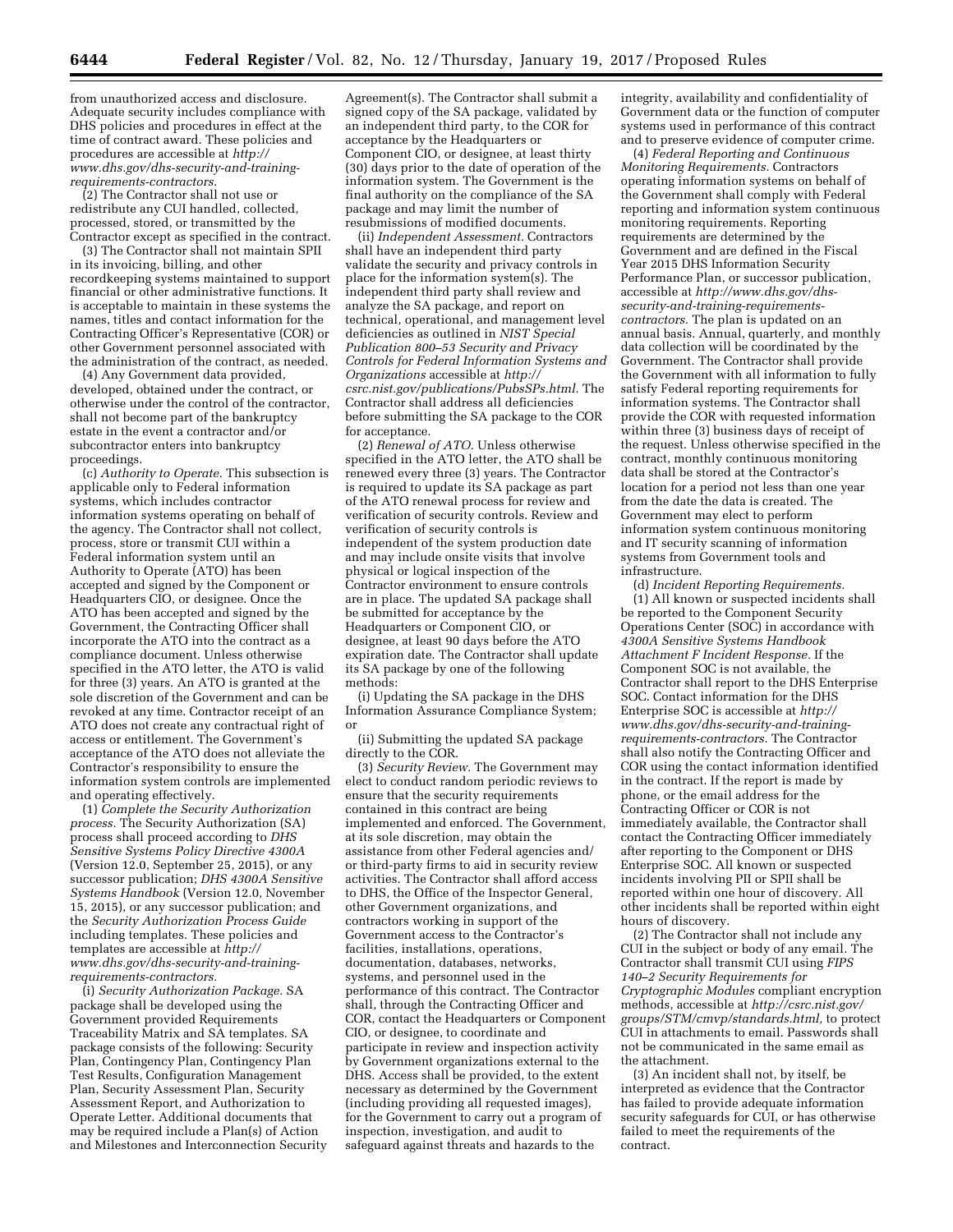from unauthorized access and disclosure. Adequate security includes compliance with DHS policies and procedures in effect at the time of contract award. These policies and procedures are accessible at *[http://](http://www.dhs.gov/dhs-security-and-training-requirements-contractors) [www.dhs.gov/dhs-security-and-training](http://www.dhs.gov/dhs-security-and-training-requirements-contractors)[requirements-contractors.](http://www.dhs.gov/dhs-security-and-training-requirements-contractors)* 

(2) The Contractor shall not use or redistribute any CUI handled, collected, processed, stored, or transmitted by the Contractor except as specified in the contract.

(3) The Contractor shall not maintain SPII in its invoicing, billing, and other recordkeeping systems maintained to support financial or other administrative functions. It is acceptable to maintain in these systems the names, titles and contact information for the Contracting Officer's Representative (COR) or other Government personnel associated with the administration of the contract, as needed.

(4) Any Government data provided, developed, obtained under the contract, or otherwise under the control of the contractor, shall not become part of the bankruptcy estate in the event a contractor and/or subcontractor enters into bankruptcy proceedings.

(c) *Authority to Operate.* This subsection is applicable only to Federal information systems, which includes contractor information systems operating on behalf of the agency. The Contractor shall not collect, process, store or transmit CUI within a Federal information system until an Authority to Operate (ATO) has been accepted and signed by the Component or Headquarters CIO, or designee. Once the ATO has been accepted and signed by the Government, the Contracting Officer shall incorporate the ATO into the contract as a compliance document. Unless otherwise specified in the ATO letter, the ATO is valid for three (3) years. An ATO is granted at the sole discretion of the Government and can be revoked at any time. Contractor receipt of an ATO does not create any contractual right of access or entitlement. The Government's acceptance of the ATO does not alleviate the Contractor's responsibility to ensure the information system controls are implemented and operating effectively.

(1) *Complete the Security Authorization process.* The Security Authorization (SA) process shall proceed according to *DHS Sensitive Systems Policy Directive 4300A*  (Version 12.0, September 25, 2015), or any successor publication; *DHS 4300A Sensitive Systems Handbook* (Version 12.0, November 15, 2015), or any successor publication; and the *Security Authorization Process Guide*  including templates. These policies and templates are accessible at *[http://](http://www.dhs.gov/dhs-security-and-training-requirements-contractors) [www.dhs.gov/dhs-security-and-training](http://www.dhs.gov/dhs-security-and-training-requirements-contractors)[requirements-contractors.](http://www.dhs.gov/dhs-security-and-training-requirements-contractors)* 

(i) *Security Authorization Package.* SA package shall be developed using the Government provided Requirements Traceability Matrix and SA templates. SA package consists of the following: Security Plan, Contingency Plan, Contingency Plan Test Results, Configuration Management Plan, Security Assessment Plan, Security Assessment Report, and Authorization to Operate Letter. Additional documents that may be required include a Plan(s) of Action and Milestones and Interconnection Security

Agreement(s). The Contractor shall submit a signed copy of the SA package, validated by an independent third party, to the COR for acceptance by the Headquarters or Component CIO, or designee, at least thirty (30) days prior to the date of operation of the information system. The Government is the final authority on the compliance of the SA package and may limit the number of resubmissions of modified documents.

(ii) *Independent Assessment.* Contractors shall have an independent third party validate the security and privacy controls in place for the information system(s). The independent third party shall review and analyze the SA package, and report on technical, operational, and management level deficiencies as outlined in *NIST Special Publication 800–53 Security and Privacy Controls for Federal Information Systems and Organizations* accessible at *[http://](http://csrc.nist.gov/publications/PubsSPs.html) [csrc.nist.gov/publications/PubsSPs.html.](http://csrc.nist.gov/publications/PubsSPs.html)* The Contractor shall address all deficiencies before submitting the SA package to the COR for acceptance.

(2) *Renewal of ATO.* Unless otherwise specified in the ATO letter, the ATO shall be renewed every three (3) years. The Contractor is required to update its SA package as part of the ATO renewal process for review and verification of security controls. Review and verification of security controls is independent of the system production date and may include onsite visits that involve physical or logical inspection of the Contractor environment to ensure controls are in place. The updated SA package shall be submitted for acceptance by the Headquarters or Component CIO, or designee, at least 90 days before the ATO expiration date. The Contractor shall update its SA package by one of the following methods:

(i) Updating the SA package in the DHS Information Assurance Compliance System; or

(ii) Submitting the updated SA package directly to the COR.

(3) *Security Review.* The Government may elect to conduct random periodic reviews to ensure that the security requirements contained in this contract are being implemented and enforced. The Government, at its sole discretion, may obtain the assistance from other Federal agencies and/ or third-party firms to aid in security review activities. The Contractor shall afford access to DHS, the Office of the Inspector General, other Government organizations, and contractors working in support of the Government access to the Contractor's facilities, installations, operations, documentation, databases, networks, systems, and personnel used in the performance of this contract. The Contractor shall, through the Contracting Officer and COR, contact the Headquarters or Component CIO, or designee, to coordinate and participate in review and inspection activity by Government organizations external to the DHS. Access shall be provided, to the extent necessary as determined by the Government (including providing all requested images), for the Government to carry out a program of inspection, investigation, and audit to safeguard against threats and hazards to the

integrity, availability and confidentiality of Government data or the function of computer systems used in performance of this contract and to preserve evidence of computer crime.

(4) *Federal Reporting and Continuous Monitoring Requirements.* Contractors operating information systems on behalf of the Government shall comply with Federal reporting and information system continuous monitoring requirements. Reporting requirements are determined by the Government and are defined in the Fiscal Year 2015 DHS Information Security Performance Plan, or successor publication, accessible at *[http://www.dhs.gov/dhs](http://www.dhs.gov/dhs-security-and-training-requirements-contractors)[security-and-training-requirements](http://www.dhs.gov/dhs-security-and-training-requirements-contractors)[contractors.](http://www.dhs.gov/dhs-security-and-training-requirements-contractors)* The plan is updated on an annual basis. Annual, quarterly, and monthly data collection will be coordinated by the Government. The Contractor shall provide the Government with all information to fully satisfy Federal reporting requirements for information systems. The Contractor shall provide the COR with requested information within three (3) business days of receipt of the request. Unless otherwise specified in the contract, monthly continuous monitoring data shall be stored at the Contractor's location for a period not less than one year from the date the data is created. The Government may elect to perform information system continuous monitoring and IT security scanning of information systems from Government tools and infrastructure.

(d) *Incident Reporting Requirements.*  (1) All known or suspected incidents shall be reported to the Component Security Operations Center (SOC) in accordance with *4300A Sensitive Systems Handbook Attachment F Incident Response.* If the Component SOC is not available, the Contractor shall report to the DHS Enterprise SOC. Contact information for the DHS Enterprise SOC is accessible at *[http://](http://www.dhs.gov/dhs-security-and-training-requirements-contractors) [www.dhs.gov/dhs-security-and-training](http://www.dhs.gov/dhs-security-and-training-requirements-contractors)[requirements-contractors.](http://www.dhs.gov/dhs-security-and-training-requirements-contractors)* The Contractor shall also notify the Contracting Officer and COR using the contact information identified in the contract. If the report is made by phone, or the email address for the Contracting Officer or COR is not immediately available, the Contractor shall contact the Contracting Officer immediately after reporting to the Component or DHS Enterprise SOC. All known or suspected incidents involving PII or SPII shall be reported within one hour of discovery. All other incidents shall be reported within eight hours of discovery.

(2) The Contractor shall not include any CUI in the subject or body of any email. The Contractor shall transmit CUI using *FIPS 140–2 Security Requirements for Cryptographic Modules* compliant encryption methods, accessible at *[http://csrc.nist.gov/](http://csrc.nist.gov/groups/STM/cmvp/standards.html)  [groups/STM/cmvp/standards.html,](http://csrc.nist.gov/groups/STM/cmvp/standards.html)* to protect CUI in attachments to email. Passwords shall not be communicated in the same email as the attachment.

(3) An incident shall not, by itself, be interpreted as evidence that the Contractor has failed to provide adequate information security safeguards for CUI, or has otherwise failed to meet the requirements of the contract.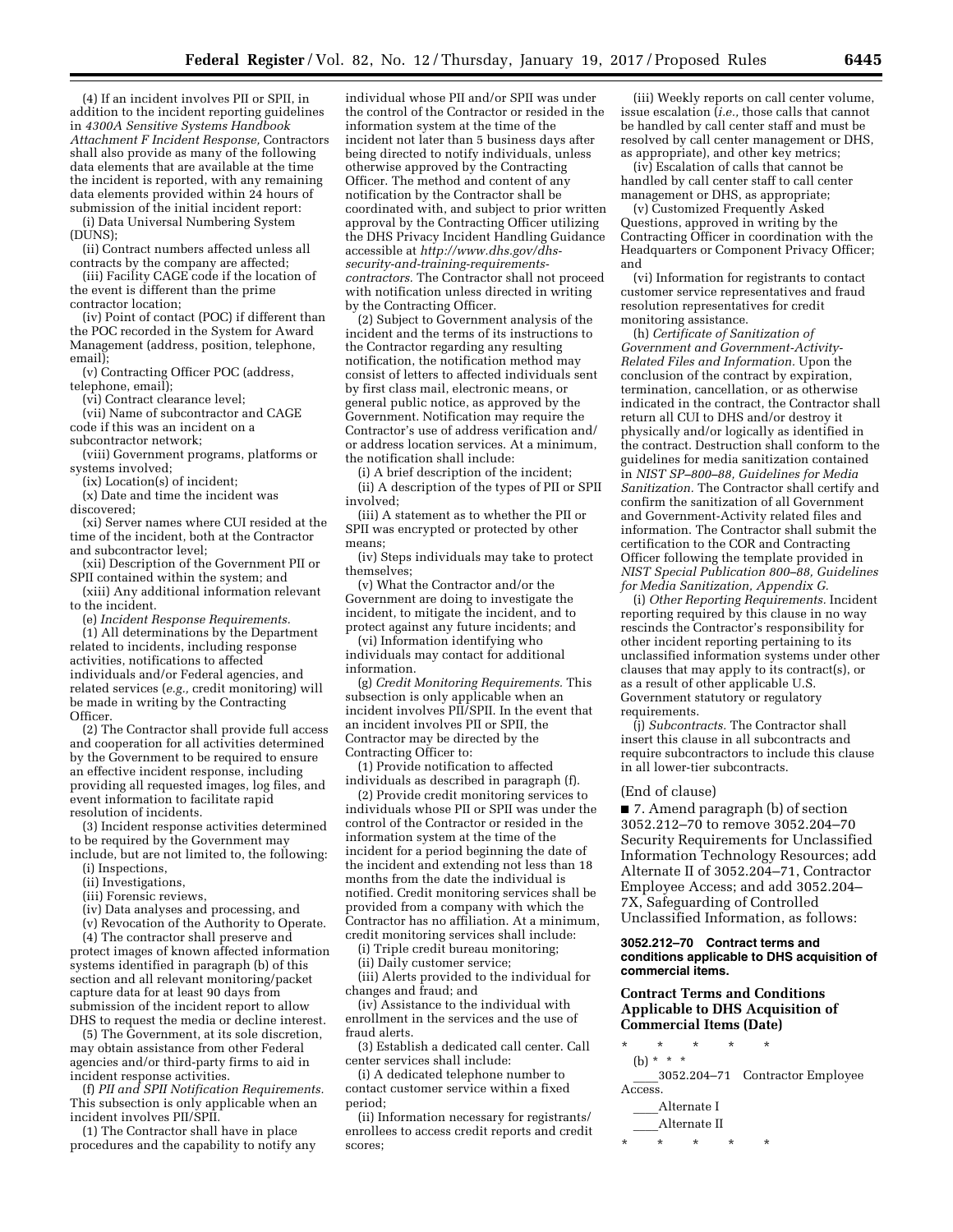(4) If an incident involves PII or SPII, in addition to the incident reporting guidelines in *4300A Sensitive Systems Handbook Attachment F Incident Response,* Contractors shall also provide as many of the following data elements that are available at the time the incident is reported, with any remaining data elements provided within 24 hours of submission of the initial incident report:

(i) Data Universal Numbering System (DUNS);

(ii) Contract numbers affected unless all contracts by the company are affected;

(iii) Facility CAGE code if the location of the event is different than the prime contractor location;

(iv) Point of contact (POC) if different than the POC recorded in the System for Award Management (address, position, telephone, email);

(v) Contracting Officer POC (address, telephone, email);

(vi) Contract clearance level;

(vii) Name of subcontractor and CAGE code if this was an incident on a subcontractor network;

(viii) Government programs, platforms or systems involved;

(ix) Location(s) of incident;

(x) Date and time the incident was

discovered;

(xi) Server names where CUI resided at the time of the incident, both at the Contractor and subcontractor level;

- (xii) Description of the Government PII or SPII contained within the system; and
- (xiii) Any additional information relevant to the incident.

(e) *Incident Response Requirements.* 

(1) All determinations by the Department related to incidents, including response activities, notifications to affected individuals and/or Federal agencies, and related services (*e.g.,* credit monitoring) will be made in writing by the Contracting Officer.

(2) The Contractor shall provide full access and cooperation for all activities determined by the Government to be required to ensure an effective incident response, including providing all requested images, log files, and event information to facilitate rapid resolution of incidents.

(3) Incident response activities determined to be required by the Government may include, but are not limited to, the following:

- (i) Inspections,
- (ii) Investigations,
- (iii) Forensic reviews,
- (iv) Data analyses and processing, and
- (v) Revocation of the Authority to Operate.

(4) The contractor shall preserve and protect images of known affected information systems identified in paragraph (b) of this section and all relevant monitoring/packet capture data for at least 90 days from submission of the incident report to allow DHS to request the media or decline interest.

(5) The Government, at its sole discretion, may obtain assistance from other Federal agencies and/or third-party firms to aid in incident response activities.

(f) *PII and SPII Notification Requirements.*  This subsection is only applicable when an incident involves PII/SPII.

(1) The Contractor shall have in place procedures and the capability to notify any

individual whose PII and/or SPII was under the control of the Contractor or resided in the information system at the time of the incident not later than 5 business days after being directed to notify individuals, unless otherwise approved by the Contracting Officer. The method and content of any notification by the Contractor shall be coordinated with, and subject to prior written approval by the Contracting Officer utilizing the DHS Privacy Incident Handling Guidance accessible at *[http://www.dhs.gov/dhs](http://www.dhs.gov/dhs-security-and-training-requirements-contractors)[security-and-training-requirements](http://www.dhs.gov/dhs-security-and-training-requirements-contractors)[contractors.](http://www.dhs.gov/dhs-security-and-training-requirements-contractors)* The Contractor shall not proceed with notification unless directed in writing by the Contracting Officer.

(2) Subject to Government analysis of the incident and the terms of its instructions to the Contractor regarding any resulting notification, the notification method may consist of letters to affected individuals sent by first class mail, electronic means, or general public notice, as approved by the Government. Notification may require the Contractor's use of address verification and/ or address location services. At a minimum, the notification shall include:

(i) A brief description of the incident; (ii) A description of the types of PII or SPII involved;

(iii) A statement as to whether the PII or SPII was encrypted or protected by other means;

(iv) Steps individuals may take to protect themselves;

(v) What the Contractor and/or the Government are doing to investigate the incident, to mitigate the incident, and to protect against any future incidents; and

(vi) Information identifying who individuals may contact for additional information.

(g) *Credit Monitoring Requirements.* This subsection is only applicable when an incident involves PII/SPII. In the event that an incident involves PII or SPII, the Contractor may be directed by the Contracting Officer to:

(1) Provide notification to affected individuals as described in paragraph (f).

(2) Provide credit monitoring services to individuals whose PII or SPII was under the control of the Contractor or resided in the information system at the time of the incident for a period beginning the date of the incident and extending not less than 18 months from the date the individual is notified. Credit monitoring services shall be provided from a company with which the Contractor has no affiliation. At a minimum, credit monitoring services shall include:

(i) Triple credit bureau monitoring;

(ii) Daily customer service;

(iii) Alerts provided to the individual for changes and fraud; and

(iv) Assistance to the individual with enrollment in the services and the use of fraud alerts.

(3) Establish a dedicated call center. Call center services shall include:

(i) A dedicated telephone number to contact customer service within a fixed period;

(ii) Information necessary for registrants/ enrollees to access credit reports and credit scores;

(iii) Weekly reports on call center volume, issue escalation (*i.e.,* those calls that cannot be handled by call center staff and must be resolved by call center management or DHS, as appropriate), and other key metrics;

(iv) Escalation of calls that cannot be handled by call center staff to call center management or DHS, as appropriate;

(v) Customized Frequently Asked Questions, approved in writing by the Contracting Officer in coordination with the Headquarters or Component Privacy Officer; and

(vi) Information for registrants to contact customer service representatives and fraud resolution representatives for credit monitoring assistance.

(h) *Certificate of Sanitization of Government and Government-Activity-Related Files and Information.* Upon the conclusion of the contract by expiration, termination, cancellation, or as otherwise indicated in the contract, the Contractor shall return all CUI to DHS and/or destroy it physically and/or logically as identified in the contract. Destruction shall conform to the guidelines for media sanitization contained in *NIST SP–800–88, Guidelines for Media Sanitization.* The Contractor shall certify and confirm the sanitization of all Government and Government-Activity related files and information. The Contractor shall submit the certification to the COR and Contracting Officer following the template provided in *NIST Special Publication 800–88, Guidelines for Media Sanitization, Appendix G.* 

(i) *Other Reporting Requirements.* Incident reporting required by this clause in no way rescinds the Contractor's responsibility for other incident reporting pertaining to its unclassified information systems under other clauses that may apply to its contract(s), or as a result of other applicable U.S. Government statutory or regulatory requirements.

(j) *Subcontracts.* The Contractor shall insert this clause in all subcontracts and require subcontractors to include this clause in all lower-tier subcontracts.

#### (End of clause)

■ 7. Amend paragraph (b) of section 3052.212–70 to remove 3052.204–70 Security Requirements for Unclassified Information Technology Resources; add Alternate II of 3052.204–71, Contractor Employee Access; and add 3052.204– 7X, Safeguarding of Controlled Unclassified Information, as follows:

#### **3052.212–70 Contract terms and conditions applicable to DHS acquisition of commercial items.**

### **Contract Terms and Conditions Applicable to DHS Acquisition of Commercial Items (Date)**